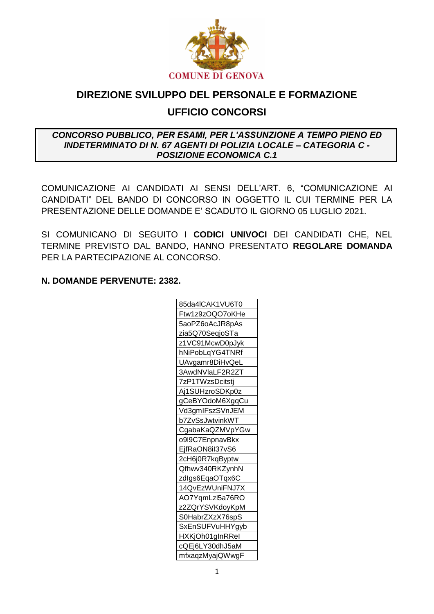

# DIREZIONE SVILUPPO DEL PERSONALE E FORMAZIONE **UFFICIO CONCORSI**

#### CONCORSO PUBBLICO, PER ESAMI, PER L'ASSUNZIONE A TEMPO PIENO ED **INDETERMINATO DI N. 67 AGENTI DI POLIZIA LOCALE – CATEGORIA C -POSIZIONE ECONOMICA C.1**

COMUNICAZIONE AI CANDIDATI AI SENSI DELL'ART. 6, "COMUNICAZIONE AI CANDIDATI" DEL BANDO DI CONCORSO IN OGGETTO IL CUI TERMINE PER LA PRESENTAZIONE DELLE DOMANDE E' SCADUTO IL GIORNO 05 LUGLIO 2021.

SI COMUNICANO DI SEGUITO I CODICI UNIVOCI DEI CANDIDATI CHE, NEL TERMINE PREVISTO DAL BANDO, HANNO PRESENTATO REGOLARE DOMANDA PER LA PARTECIPAZIONE AL CONCORSO.

#### N. DOMANDE PERVENUTE: 2382.

| 85da4lCAK1VU6T0 |
|-----------------|
| Ftw1z9zOQO7oKHe |
| 5aoPZ6oAcJR8pAs |
| zia5Q70SeqjoSTa |
| z1VC91McwD0pJyk |
| hNiPobLqYG4TNRf |
| UAvgamr8DiHvQeL |
| 3AwdNVlaLF2R2ZT |
| 7zP1TWzsDcitstj |
| Aj1SUHzroSDKp0z |
| gCeBYOdoM6XgqCu |
| Vd3gmIFszSVnJEM |
| b7ZvSsJwtvinkWT |
| CgabaKaQZMVpYGw |
| o9l9C7EnpnavBkx |
| EjfRaON8il37vS6 |
| 2cH6j0R7kqByptw |
| Qfhwv340RKZynhN |
| zdlgs6EqaOTqx6C |
| 14QvEzWUniFNJ7X |
| AO7YqmLzl5a76RO |
| z2ZQrYSVKdoyKpM |
| S0HabrZXzX76spS |
| SxEnSUFVuHHYgyb |
| HXKjOh01gInRRel |
| cQEj6LY30dhJ5aM |
| mfxaqzMyajQWwgF |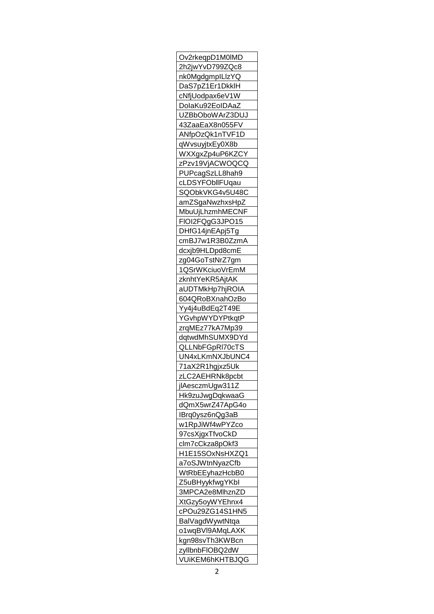| Ov2rkeqpD1M0IMD                           |
|-------------------------------------------|
| <u>2h2jwYvD799ZQc8</u>                    |
| nk0MgdgmpILlzYQ                           |
| DaS7pZ1Er1DkklH                           |
| cNfjUodpax6eV1W                           |
| DolaKu92EoIDAaZ                           |
| UZBbOboWArZ3DUJ                           |
| 43ZaaEaX8n055FV                           |
| ANfpOzQk1nTVF1D                           |
| qWvsuyjtxEy0X8b                           |
| WXXgxZp4uP6KZCY                           |
| zPzv19VjACWOQCQ                           |
| PUPcagSzLL8hah9                           |
| cLDSYFObllFUqau                           |
| SQObkVKG4v5U48C                           |
|                                           |
| amZSgaNwzhxsHpZ                           |
| MbuUjLhzmhMECNF                           |
| FIOI2FQgG3JPO15                           |
| DHfG14jnEApj5Tg                           |
| cmBJ7w1R3B0ZzmA                           |
| dcxjb9HLDpd8cmE                           |
| zg04GoTstNrZ7gm                           |
| 1QSrWKciuoVrEmM                           |
| zknhtYeKR5AjtAK                           |
| aUDTMkHp7hjROIA                           |
| 604QRoBXnahOzBo                           |
| Yy4j4uBdEq2T49E                           |
| YGvhpWYDYPtkqtP                           |
| zrqMEz77kA7Mp39                           |
| dqtwdMhSUMX9DYd                           |
| <u>QLLNbFGpRI70cTS</u>                    |
| UN4xLKmNXJbUNC4                           |
|                                           |
|                                           |
| 71 <u>aX2R1hgjxz5Uk</u>                   |
| zLC2AEHRNk8pcbt                           |
| jlAesczmUgw311Z                           |
| Hk9zuJwgDqkwaaG                           |
| dQmX5wrZ47ApG4o                           |
| IBrq0ysz6nQg3aB                           |
| w1RpJiWf4wPYZco                           |
| 97csXjgxTfvoCkD                           |
| clm7cCkza8pOkf3                           |
| H1E15SOxNsHXZQ1                           |
| a7oSJWtnNyazCfb                           |
| WtRbEEyhazHcbB0                           |
| Z5uBHyykfwgYKbl                           |
|                                           |
| 3MPCA2e8MlhznZD                           |
| XtGzy5oyWYEhnx4                           |
| cPOu29ZG14S1HN5                           |
| BalVagdWywtNtqa                           |
| o1wqBVl9AMqLAXK                           |
| kgn98svTh3KWBcn                           |
| zyllbnbFIOBQ2dW<br><u>VUIKEM6hKHTBJQG</u> |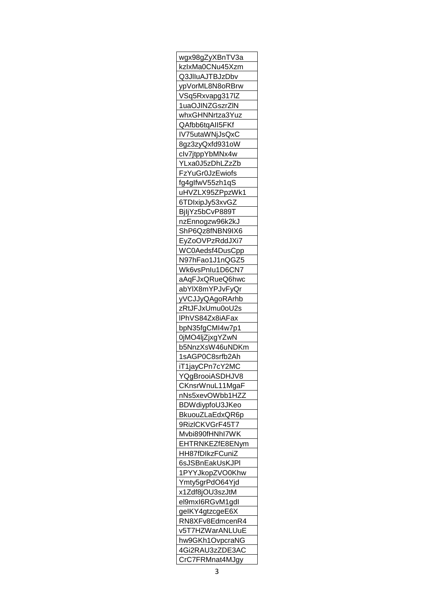| wgx98gZyXBnTV3a                    |
|------------------------------------|
| kzlx <u>Ma0CNu45Xzm</u>            |
| Q3JIIuAJTBJzDbv                    |
| ypVorML8N8oRBrw                    |
| VSq5Rxvapg317IZ                    |
| 1uaOJINZGszrZIN                    |
| whxGHNNrtza3Yuz                    |
|                                    |
| QAfbb6tqAlI5FKf                    |
| IV7 <u>5utaWNjJsQxC</u>            |
| 8gz3zyQxfd931oW                    |
| clv7jtppYbMNx4w                    |
| YLxa0J5zDhLZzZb                    |
| FzYuGr0JzEwiofs                    |
| fg4glfwV55zh1qS                    |
| uHVZLX95ZPpzWk1                    |
| 6TDIxipJy53xvGZ                    |
| BjljYz5bCvP889T                    |
| nzEnnogzw96k2k <mark>J</mark>      |
| ShP6Qz8fNBN9IX6                    |
| EyZoOVPzRddJXi7                    |
| WC0Aedsf4DusCpp                    |
| N97hFao1J1nQGZ5                    |
| Wk6vsPnIu1D6CN7                    |
| aAqFJxQRueQ6hwc                    |
|                                    |
| abYlX8mYPJvFyQr                    |
| yVCJJyQAgoRArhb                    |
| zRtJFJxUmu0oU2s                    |
| IPhVS84Zx8iAFax                    |
| bpN35fgCMI4w7p1                    |
| 0jMO4ljZjxgYZwN                    |
| b5NnzXsW46uNDKm                    |
| 1sAGP0C8srfb2Ah                    |
| iT <u>1jayCPn7cY2MC</u>            |
| YQgBrooiASDHJV8                    |
|                                    |
|                                    |
| CKnsrWnuL11MgaF                    |
| nNs5xevOWbb1HZZ                    |
| BDW diypfoU3JKeo                   |
| BkuouZLaEdxQR6p                    |
| 9RizICKVGrF45T7                    |
| Mvbi890fHNhI7WK                    |
| EHTRNKEZfE8ENym                    |
| HH87fDIkzFCuniZ                    |
| 6sJSBnEakUsKJPI                    |
| 1PYYJkopZVO0Khw                    |
| Ymty5grPdO64Yjd                    |
| x1Zdf8jOU3szJtM                    |
| el9mxI6RGvM1gdI                    |
| gelKY4gtzcgeE6X                    |
| RN8XFv8EdmcenR4                    |
| v5T7HZWarANLUuE                    |
| hw9GKh1OvpcraNG                    |
|                                    |
| 4Gi2RAU3zZDE3AC<br>CrC7FRMnat4MJgy |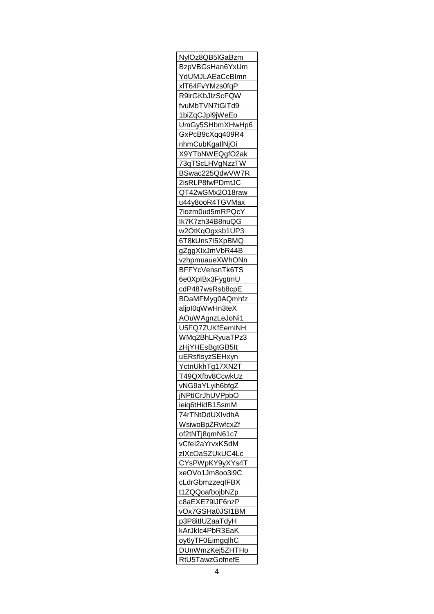| NylOz8QB5IGaBzm                    |
|------------------------------------|
| BzpVBGsHan6YxUm                    |
| YdUMJLAEaCcBImn                    |
| xlT64FvYMzs0fqP                    |
| <b>R9IrGKbJIzScFQW</b>             |
| fvuMbTVN7tGlTd9                    |
| 1biZqCJpl9jWeEo                    |
| UmGy5SHbmXHwHp6                    |
| GxPcB9cXqq409R4                    |
| nhmCubKgallNjOi                    |
| X9YTbNWEQgfO2ak                    |
| 73qTScLHVgNzzTW                    |
| BSwac225QdwVW7R                    |
| 2isRLP8fwPDmtJC                    |
| QT42wGMx2O18raw                    |
|                                    |
| u44y8ooR4TGVMax                    |
| 7lozm0ud5mRPQcY                    |
| lk7K7zh34B8nuQG                    |
| w2OtKqOgxsb1UP3                    |
| 6T8kUns7l5XpBMQ                    |
| gZggXlxJmVbR44B                    |
| vzhpmuaueXWhONn                    |
| BFFYcVensnTk6TS                    |
| 6e0XplBx3FygtmU                    |
| cdP487wsRsb8cpE                    |
| BDaMFMyg0AQmhfz                    |
| aljpl0qWwHn3teX                    |
|                                    |
|                                    |
| AOuWAgnzLeJoNi1                    |
| U5FQ7ZUKfEemINH                    |
| WMq2BhLRyuaTPz3                    |
| zHjYHEsBgtGB5It                    |
| uERsflsyzSEHxyn                    |
| YctnUkhTg17XN2T                    |
| T49QXfbv8CcwkUz                    |
| vNG9aYLyih6bfgZ                    |
| jNPtICrJhUVPpbO                    |
| ieiq6tHidB1SsmM                    |
| 74rTNtDdUXIvdhA                    |
| WsiwoBpZRwfcxZf                    |
| of2tNTj8qmN61c7                    |
| vCfel2aYrvxKSdM                    |
| zIXcOaSZUkUC4Lc                    |
| CYsPWpKY9yXYs4T                    |
| xeOVo1Jm8oo3i9C                    |
| cLdrGbmzzeqIFBX                    |
| t1ZQQoafbojbNZp                    |
| c8aEXE79IJF6nzP                    |
|                                    |
| vOx7GSHa0JSI1BM                    |
| p3P8itIUZaaTdyH                    |
| kArJklc4PbR3EaK                    |
| oy6yTF0EimgqlhC                    |
| DUnWmzKej5ZHTHo<br>RtU5TawzGofnefE |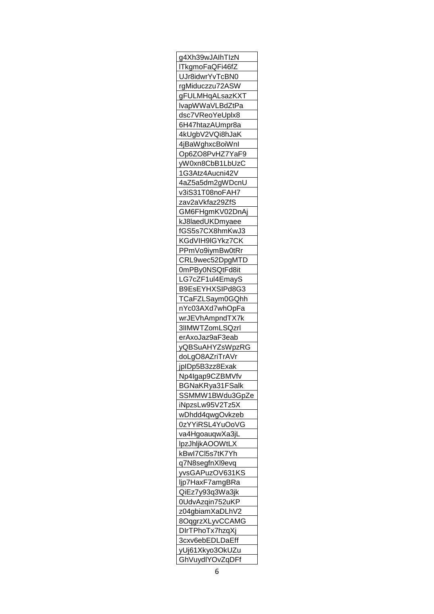| g4Xh39wJAIhTIzN                    |
|------------------------------------|
| ITkgmoFaQFi46fZ                    |
| UJr8idwrYvTcBN0                    |
| rgMiduczzu72ASW                    |
| gFULMHqALsazKXT                    |
| lvapWWaVLBdZtPa                    |
| dsc7VReoYeUplx8                    |
| 6H47htazAUmpr8a                    |
| 4kUgbV2VQi8hJaK                    |
|                                    |
| 4jBaWghxcBoiWnl                    |
| Op6ZO8PvHZ7YaF9                    |
| yW0xn8CbB1LbUzC                    |
| 1G3Atz4Aucni42V                    |
| 4aZ5a5dm2gWDcnU                    |
| v3iS31T08noFAH7                    |
| zav2aVkfaz29ZfS                    |
| GM6FHgmKV02DnAj                    |
| kJ8laedUKDmyaee                    |
| fGS5s7CX8hmKwJ3                    |
| KGdVIH9IGYkz7CK                    |
| PPmVo9iymBw0tRr                    |
| CRL9wec52DpgMTD                    |
| 0mPBy0NSQtFd8it                    |
| LG7cZF1ul4EmayS                    |
| B9EsEYHXSIPd8G3                    |
| <u>TCaFZLSaym0GQhh</u>             |
| nYc03AXd7whOpFa                    |
| wrJEVhAmpndTX7k                    |
| 3IIMWTZomLSQzrl                    |
| erAxoJaz9aF3eab                    |
|                                    |
| <u>yQBSuAHYZsWpzRG</u>             |
| doLgO8AZriTrAVr                    |
| jpIDp5B3zz8Exak                    |
| Np4Igap9CZBMVfv                    |
| BGNaKRya31FSalk                    |
| SSMMW1BWdu3GpZe                    |
|                                    |
| iNpzsLw95V2Tz5X                    |
| wDhdd4qwgOvkzeb                    |
| 0zYYiRSL4YuOoVG                    |
| va4HgoauqwXa3jL                    |
| <b>IpzJhljkAOOWtLX</b>             |
| kBwl7Cl5s7tK7Yh                    |
|                                    |
| q7N8segfnXl9evq                    |
| yvsGAPuzOV631KS                    |
| ljp7HaxF7amgBRa                    |
| QiEz7y93q3Wa3jk                    |
|                                    |
| 0UdvAzqin752uKP<br>z04gbiamXaDLhV2 |
|                                    |
| 8OqgrzXLyvCCAMG<br>DIrTPhoTx7hzqXj |
| 3cxv6ebEDLDaEff                    |
| yUj61Xkyo3OkUZu<br>GhVuydlYOvZqDFf |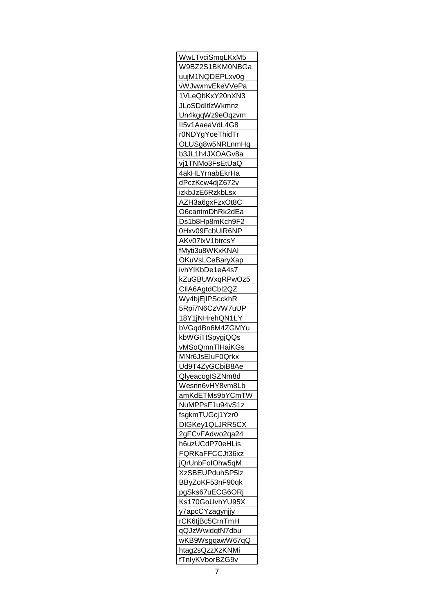| WwLTvciSmqLKxM5         |
|-------------------------|
| W9BZ2S1BKM0NBGa         |
| uujM1NQDEPLxv0g         |
| vWJvwmvEkeVVePa         |
| 1VLeQbKxY20nXN3         |
| <b>JLoSDdItizWkmnz</b>  |
| Un4kgqWz9eOqzvm         |
| II5v1AaeaVdL4G8         |
| r0NDYgYoeThidTr         |
| OLUSg8w5NRLnmHq         |
| b3JL1h4J <u>XOAGv8a</u> |
| vj1TNMo3FsEtUaQ         |
| <u>4akHLYrnabEkrHa</u>  |
|                         |
| dPczKcw4djZ672v         |
| izkbJzE6RzkbLsx         |
| AZH3a6gxFzxOt8C         |
| O6cantmDhRk2dEa         |
| Ds1b8Hp8mKch9F2         |
| 0Hxv09FcbUiR6NP         |
| AKv07lxV1btrcsY         |
| fMyti3u8WKxKNAI         |
| OKuVsLCeBaryXap         |
| ivhYIKbDe1eA4s7         |
| kZuGBUWxqRPwOz5         |
| CIIA6AgtdCbI2QZ         |
| Wy <u>4bjEjIPScckhR</u> |
| 5Rpi7N6CzVW7uUP         |
| <u>18Y1jNHrehQN1LY</u>  |
| bV <u>GqdBn6M4ZGMYu</u> |
| kbWGiTtSpygjQQs         |
|                         |
| <u>vMSoQmnTlHaiKGs</u>  |
| MNr6JsEIuF0Qrkx         |
| Ud9T4ZyGCbiB8Ae         |
| QlyeacogISZNm8d         |
| Wesnn6vHY8vm8Lb         |
| amKdETMs9bYCmTW         |
| NuMPPsF1u94vS1z         |
| fsgkmTUGcj1Yzr0         |
| DIGKey1QLJRR5CX         |
| 2gFCvFAdwo2qa24         |
| h6uzUCdP70eHLis         |
| FQRKaFFCCJt36xz         |
| jQrUnbFolOhw5qM         |
| <u>XzSBEUPduhSP5Iz</u>  |
| BByZoKF53nF90qk         |
| pgSks67uECG6ORj         |
| Ks170GoUvhYU95X         |
|                         |
| <u>y7apcCYzagynjjy</u>  |
| rCK6tjBc5CrnTmH         |
| qQJzWwidqtN7dbu         |
| wKB9WsgqawW67qQ         |
| htag2sQzzXzKNMi         |
| fTnlyKVborBZG9v         |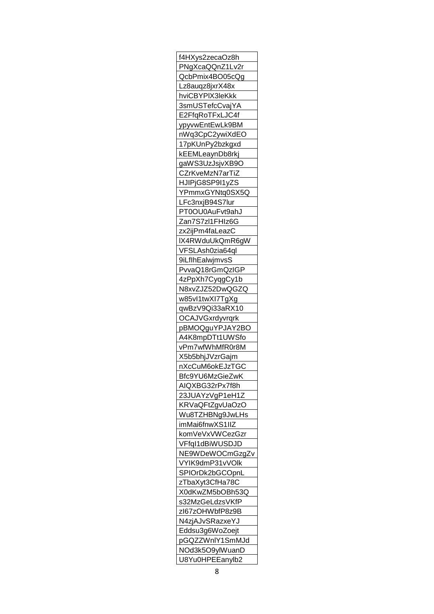| f4HXys2zecaOz8h        |
|------------------------|
| PNgXcaQQnZ1Lv2r        |
| QcbPmix4BO05cQg        |
| Lz8auqz8jxrX48x        |
| hviCBYPIX3leKkk        |
| 3smUSTefcCvajYA        |
| E2FfqRoTFxLJC4f        |
| ypyvwEntEwLk9BM        |
| nWq3CpC2ywiXdEO        |
| 17pKUnPy2bzkgxd        |
| kEEMLeaynDb8rkj        |
| gaWS3UzJsjvXB9O        |
| CZrKveMzN7arTiZ        |
| HJIPjG8SP9I1yZS        |
| YPmmxGYNtq0SX5Q        |
|                        |
| LFc3nxjB94S7lur        |
| PT0OU0AuFvt9ahJ        |
| Zan7S7zl1FHIz6G        |
| zx2ijPm4faLeazC        |
| IX4RWduUkQmR6gW        |
| VFSLAsh0zia64ql        |
| 9iLfIhEalwjmvsS        |
| PvvaQ18rGmQzIGP        |
| 4zPpXh7CyqgCy1b        |
| N8xvZJZ52DwQGZQ        |
| w85vl1twXl7TgXg        |
| qwBzV9Qi33aRX10        |
| OCAJVGxrdyvrqrk        |
| pBMOQguYPJAY2BO        |
| A4K8mpDTt1UWSfo        |
| <u>vPm7wfWhMfR0r8M</u> |
| X5b5bhjJVzrGajm        |
| nXcCuM6okEJzTGC        |
| Bfc9YU6MzGieZwK        |
| AIQXBG32rPx7f8h        |
| 23JUAYzVgP1eH1Z        |
| KRVaQFtZgvUaOzO        |
| Wu8TZHBNg9JwLHs        |
| imMai6fnwXS1IIZ        |
| komVeVxVWCezGzr        |
| VFfql1dBiWUSDJD        |
| NE9WDeWOCmGzgZv        |
|                        |
| VYIK9dmP31vVOlk        |
| SPIOrDk2bGCOpnL        |
| zTbaXyt3CfHa78C        |
| X0dKwZM5bOBh53Q        |
| s32MzGeLdzsVKfP        |
| zl67zOHWbfP8z9B        |
| N4zjAJvSRazxeYJ        |
| Eddsu3g6WoZoejt        |
| pGQZZWnlY1SmMJd        |
| NOd3k5O9ylWuanD        |
| U8Yu0HPEEanylb2        |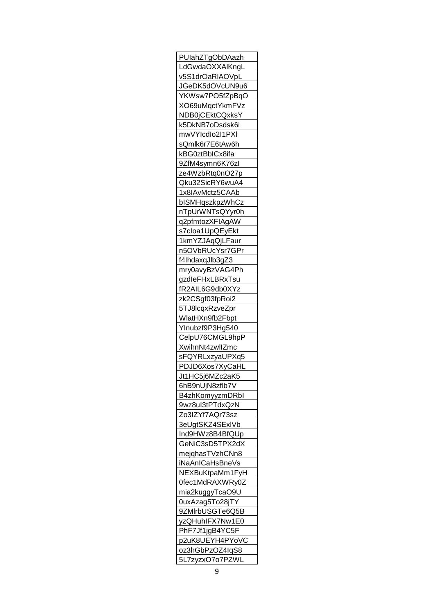| PUlahZTgObDAazh                |
|--------------------------------|
| LdGwdaOXXA <mark>l</mark> KngL |
| v5S1 <u>drOaRIAOVpL</u>        |
| JGeDK5dOVcUN9u6                |
| YKWsw7PO5fZpBqO                |
| XO69uMqctYkmFVz                |
| NDB0jCEktCQxksY                |
| k5DkNB7oDsdsk6i                |
| mwVYlcdlo2l1PXI                |
| sQmlk6r7E6tAw6h                |
| kBG0ztBbICx8ifa                |
| 9ZfM4symn6K76zl                |
| ze4WzbRtq0nO27p                |
| Qku32SicRY6wuA4                |
|                                |
| 1x8IAvMctz5CAAb                |
| <u>bISMHqszkpzWhCz</u>         |
| nTpUrWNTsQYyr0h                |
| q2pfmtozXFIAgAW                |
| s7cloa1UpQEyEkt                |
| 1kmYZJAqQjLFaur                |
| n5OVbRUcYsr7GPr                |
| f4lhdaxqJlb3gZ3                |
| mry0avyBzVAG4Ph                |
| gzdleFHxLBRxTsu                |
| fR2AIL6G9db0XYz                |
| zk2CSgf03fpRoi2                |
| 5TJ8lcqxRzveZpr                |
| WlatHXn9fb2Fbpt                |
| YInubzf9P3Hg540                |
| CelpU76CMGL9hpP                |
| XwihnNt4zwllZmc                |
| sFQYRLxzyaUPXq5                |
| PDJD6Xos7XyCaHL                |
| Jt1HC5j6MZc2aK5                |
| 6hB9nUjN8zflb7V                |
| B4zhKomyyzmDRbl                |
| 9wz8ul3tPTdxQzN                |
| Zo3IZYf7AQr73sz                |
| 3eUgtSKZ4SExIVb                |
| Ind9HWz8B4BfQUp                |
|                                |
| GeNiC3sD5TPX2dX                |
| mejqhasTVzhCNn8                |
| iNaAnICaHsBneVs                |
| NEXBuKtpaMm1FyH                |
| 0fec1MdRAXWRy0Z                |
| mia2kuggyTcaO9U                |
| 0uxAzag5To28jTY                |
| 9ZMIrbUSGTe6Q5B                |
| yzQHuhIFX7Nw1E0                |
| PhF7Jf1jgB4YC5F                |
| p2uK8UEYH4PYoVC                |
| oz3hGbPzOZ4lqS8                |
| 5L7z <u>yzxO</u> 7o7PZWL       |
|                                |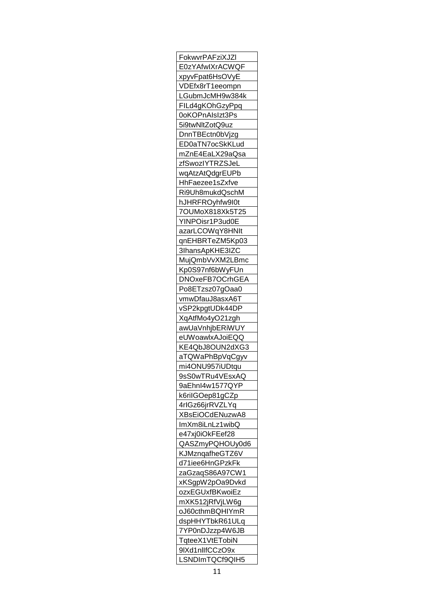| FokwyrPAFziXJZI               |
|-------------------------------|
| E0zYAfwlXrACWQF               |
| xpyvFpat6HsOVyE               |
| VDEfx8rT1eeompn               |
| LGubmJcMH9w384 <mark>k</mark> |
| FILd4gKOhGzyPpq               |
| 0oKOPnAIsIzt3Ps               |
| 5i9twNltZotQ9uz               |
| DnnTBEctn0bVjzg               |
| ED0aTN7ocSkKLud               |
|                               |
| mZnE4EaLX29aQs <mark>a</mark> |
| zfSwozIYTRZSJeL               |
| wqAtzAtQdgrEUPb               |
| HhFaezee1sZxfve               |
| Ri9Uh8mukdQschM               |
| hJHRFROyhfw9l0t               |
| 7OUMoX818Xk5T25               |
| YINPOisr1P3ud0E               |
| azarLCOWqY8HNIt               |
| qnEHBRTeZM5Kp03               |
| 3IhansApKHE3IZC               |
| MujQmbVvXM2LBmc               |
| Kp0S97nf6bWyFUn               |
| DNOxeFB7OCrhGEA               |
| Po8ETzsz07gOaa0               |
| vmwDfauJ8asxA6T               |
|                               |
| vSP2kpgtUDk44DP               |
| <u>XqAtfMo4yO21zgh</u>        |
| awUaVnhjbERiWUY               |
| eUWoawlxAJoiEQQ               |
| <u>KE4QbJ8OUN2dXG3</u>        |
| aTQWaPhBpVqCgyv               |
| mi4ONU957iUDtqu               |
| 9sS0wTRu4VEsxAQ               |
| 9aEhnl4w1577QYP               |
| k6rilGOep81gCZp               |
| 4rIGz66jrRVZLYq               |
| XBsEiOCdENuzwA8               |
| <u>ImXm8iLnLz1wibQ</u>        |
| e47xj0iOkFEef28               |
| QASZmyPQHOUy0d6               |
| KJMznqafheGTZ6V               |
| d71iee6HnGPzkFk               |
| zaGzaqS86A97CW1               |
| xKSgpW2pOa9Dvkd               |
|                               |
| ozxEGUxfBKwoiEz               |
| mXK512jRfVjLW6g               |
| oJ60cthmBQHIYmR               |
| dspHHYTbkR61ULq               |
| 7YP0nDJzzp4W6JB               |
| TqteeX1VtETobiN               |
|                               |
| 9IXd1nllfCCzO9x               |
| LSNDImTQCf9QIH5               |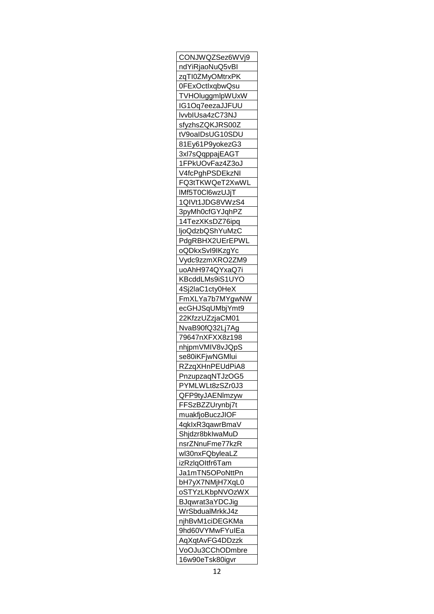| CONJWQZSez6WVj9                    |
|------------------------------------|
| ndYiRjaoNuQ5vBI                    |
| zqTI0ZMyOMtrxPK                    |
| 0FExOctIxqbwQsu                    |
| TVHOluggmlpWUxW                    |
| IG1Oq7eezaJJFUU                    |
| lvvbIUsa4zC73NJ                    |
| sfyzhsZQKJRS00Z                    |
| tV9oalDsUG10SDU                    |
| 81Ey61P9yokezG3                    |
| 3xl7sQqppajEAGT                    |
| 1FPkUOvFaz4Z3oJ                    |
| V4fcPghPSDEkzNI                    |
| FQ3tTKWQeT2XwWL                    |
| IMf5T0Cl6wzUJjT                    |
| 1QIVt1JDG8VWzS4                    |
|                                    |
| 3pyMh0cfGYJqhPZ                    |
| 14TezXKsDZ76ipq                    |
| ljoQdzbQShYuMzC                    |
| PdgRBHX2UErEPWL                    |
| oQDkxSvI9IKzgYc                    |
| Vydc9zzmXRO2ZM9                    |
| uoAhH974QYxaQ7i                    |
| KBcddLMs9iS1UYO                    |
| 4Sj2laC1cty0HeX                    |
| FmXLYa7b7MYgwNW                    |
| ecGHJSqUMbjYmt9                    |
| 22KfzzUZzjaCM01                    |
| NvaB90fQ32Lj7Ag                    |
| 79647nXFXX8z198                    |
| nhjpmVMIV8vJQpS                    |
| se80iKFjwNGMlui                    |
| RZzqXHnPEUdPiA8                    |
| PnzupzaqNTJzOG5                    |
| PYMLWLt8zSZr0J3                    |
| QFP9tyJAENImzyw                    |
| FFSzBZZUrynbj7t                    |
| muakfjoBuczJIOF                    |
| 4qklxR3qawrBmaV                    |
| Shjdzr8bklwaMuD                    |
| nsrZNnuFme77kzR                    |
| wl30nxFQbyleaLZ                    |
|                                    |
| izRzlqOltfr6Tam<br>Ja1mTN5OPoNttPn |
|                                    |
| bH7yX7NMjH7XqL0                    |
| oSTYzLKbpNVOzWX                    |
| BJqwrat3aYDCJig                    |
| WrSbdualMrkkJ4z                    |
| njhBvM1ciDEGKMa                    |
| 9hd60VYMwFYulEa                    |
| AqXqtAvFG4DDzzk                    |
| VoOJu3CChODmbre                    |
| 16w90eTsk80igvr                    |
|                                    |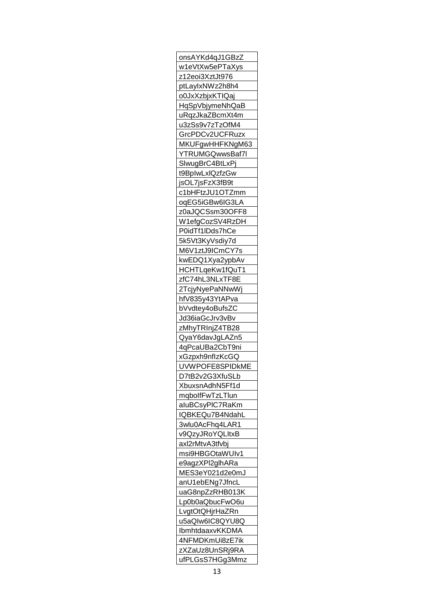| onsAYKd4qJ1GBzZ        |
|------------------------|
| w1eVtXw5ePTaXys        |
| z12eoi3XztJt976        |
| ptLaylxNWz2h8h4        |
| o0JxXzbjxKTIQaj        |
| HqSpVbjymeNhQaB        |
| uRqzJkaZBcmXt4m        |
| u3zSs9v7zTzOfM4        |
| GrcPDCv2UCFRuzx        |
| MKUFgwHHFKNgM63        |
| YTRUMGQwwsBaf7l        |
|                        |
| SlwugBrC4BtLxPj        |
| t9BpIwLxIQzfzGw        |
| jsOL7jsFzX3fB9t        |
| c1bHFtzJU1OTZmm        |
| oqEG5iGBw6IG3LA        |
| z0aJQCSsm30OFF8        |
| W1efgCozSV4RzDH        |
| P0idTf1IDds7hCe        |
| 5k5Vt3KyVsdiy7d        |
| M6V1ztJ9ICmCY7s        |
| kwEDQ1Xya2ypbAv        |
| HCHTLqeKw1fQuT1        |
| zfC74hL3NLxTF8E        |
| 2TcjyNyePaNNwWj        |
| hfV835y43YtAPva        |
| bVvdtey4oBufsZC        |
| Jd36iaGcJrv3vBv        |
| zMhyTRInjZ4TB28        |
|                        |
| QyaY6davJgLAZn5        |
| 4qPcaUBa2CbT9ni        |
| xGzpxh9nflzKcGQ        |
| UVWPOFE8SPIDKME        |
| D7tB2v2G3XfuSLb        |
| <u>XbuxsnAdhN5Ff1d</u> |
| mqbolfFwTzLTlun        |
| aluBCsyPIC7RaKm        |
| IQBKEQu7B4NdahL        |
| 3wlu0AcFhq4LAR1        |
| v9QzyJRoYQLItxB        |
| axl2rMtvA3tfvbj        |
| msi9HBGOtaWUIv1        |
| e9agzXPl2glhARa        |
| MES3eY021d2e0mJ        |
| anU1ebENg7Jfncl        |
| uaG8npZzRHB013K        |
| Lp0b0aQbucFwO6u        |
|                        |
| <u>LvgtOtQHjrHaZRn</u> |
| u5aQIw6IC8QYU8Q        |
| IbmhtdaaxvKKDMA        |
| 4NFMDKmUi8zE7ik        |
| zXZaUz8UnSRj9RA        |
| ufPLGsS7HGg3Mmz        |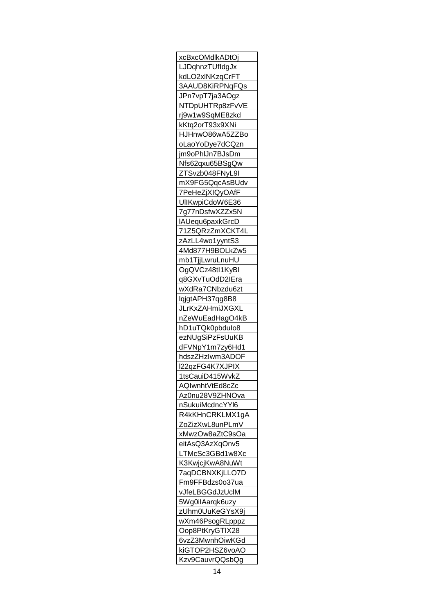| xcBxcOMdlkADtOj               |
|-------------------------------|
| LJDqhnzTUfldgJx               |
| kdLO2xlNKzqCrFT               |
| 3AAUD8KiRPNqFQs               |
| JPn7vpT7ja3AOgz               |
| NTDpUHTRp8zFvVE               |
| rj9w1w9SqME8zkd               |
| kKtq2orT93x9XNi               |
| HJHnwO86wA5ZZBo               |
| oLaoYoDye7dCQzn               |
| jm9oPhIJn7BJsDm               |
|                               |
| Nfs62qxu65BSgQw               |
| ZTSvzb048FNyL9I               |
| <u>mX9FG5QqcAsBUdv</u>        |
| TPeHeZjXIQyOAfF               |
| UIIKwpiCdoW6E36               |
| 7g77nDsfwXZZx5N               |
| IAUequ6paxkGrcD               |
| <u>71Z5QRzZmXCKT4L</u>        |
| zAzLL4wo1yyntS3               |
| 4Md877H9BOLkZw5               |
| mb1TjjLwruLnuHU               |
| OgQVCz48tl1KyBl               |
| q8GXvTuOdD2IEra               |
| wXdRa7CNbzdu6zt               |
| lqjgtAPH37qg8B8               |
| <b>JLrKxZAHmiJXGXL</b>        |
| nZeWuEadHagO4kB               |
| hD1uTQk0pbdulo8               |
| ezNUgSiPzFsUuKB               |
| dFVNpY1m7zy6Hd1               |
|                               |
| hdszZHzIwm3ADOF               |
| 22qzFG4K7XJPIX                |
| 1tsCauiD415WvkZ               |
| AQIwnhtVtEd8cZc               |
| Az0nu28V9ZHNOva               |
| nSukuiMcdncYYl6               |
| R4kKHnCRKLMX1gA               |
| ZoZizXwL8unPLmV               |
| xMwzOw8aZtC9sOa               |
| eitAsQ3AzXqOnv5               |
| LTMcSc3GBd1w8Xc               |
| K3KwjcjK <u>wA8NuWt</u>       |
| 7aqDCBNXKjLLO7D               |
| Fm9FFBdzs0o37ua               |
| vJfeLBGGdJzUcIM               |
| 5Wg0ilAarqk6uzy               |
| zUhm0UuKeGYsX9 <mark>j</mark> |
|                               |
| wXm46PsogRLpppz               |
| Oop8PtKryGTIX28               |
| 6vzZ3MwnhOiwKGd               |
| kiGTOP2HSZ6voAO               |
| Kzv9CauvrQQsbQg               |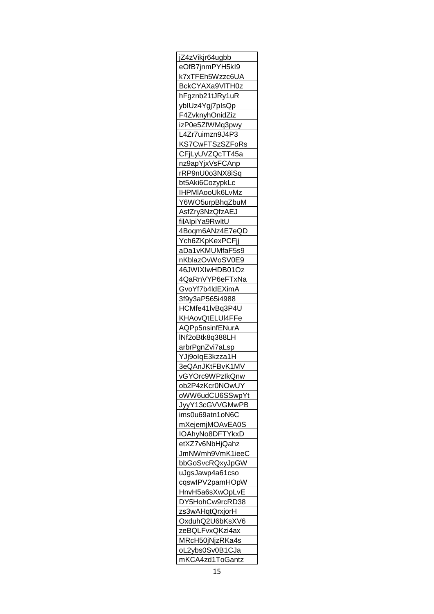| jZ4zVikjr64ugbb         |
|-------------------------|
| eOfB7jnmPYH5kl9         |
| k7xTFEh5Wzzc6UA         |
| BckCYAXa9VITH0z         |
| hFgznb21tJRy1uR         |
| ybIUz4Ygj7pIsQp         |
| F4ZvknyhOnidZiz         |
| izP0e5ZfWMq3pwy         |
| L4Zr7uimzn9J4P3         |
|                         |
| KS7CwFTSzSZFoRs         |
| CFjLyUVZQcTT45a         |
| nz9apYjxVsFCAnp         |
| rRP9nU0o3NX8iSq         |
| bt5Aki6CozypkLc         |
| IHPMIAooUk6LvMz         |
| Y6WO5urpBhqZbuM         |
| AsfZry3NzQfzAEJ         |
| filAlpiYa9RwltU         |
| 4B <u>oqm6ANz4E7eQD</u> |
| <u>Ych6ZKpKexPCFjj</u>  |
| aDa1vKMUMfaF5s9         |
| nKblazOvWoSV0E9         |
| 46JW <u>IXIwHDB01Oz</u> |
| 4QaRnVYP6eFTxNa         |
| GvoYf7b4ldEXimA         |
| 3f9y3aP565i4988         |
| HCMfe41lvBq3P4U         |
|                         |
| KHAovQtELUI4FFe         |
| AQPp5nsinfENurA         |
| <u>INf2oBtk8q388LH</u>  |
| arbrPgnZvi7aLsp         |
| YJj9olqE3kzza1H         |
| 3eQAnJKtFBvK1MV         |
| vGYOrc9WPzIkQnw         |
| ob2P4zKcr0NOwUY         |
| oWW6udCU6SSwpYt         |
| JyyY13cGVVGMwPB         |
| ims0u69atn1oN6C         |
| mXejemjMOAvEA0S         |
| IOAhyNo8DFTYkxD         |
| etXZ7v6NbHjQahz         |
| JmNWmh9VmK1ieeC         |
| bbGoSvcRQxyJpGW         |
| uJgsJawp4a61cso         |
| cqswlPV2pamHOpW         |
|                         |
| HnvH5a6sXwOpLvE         |
| DY5HohCw9rcRD38         |
| zs3wAHqtQrxjorH         |
| OxduhQ2U6bKsXV6         |
| zeBQLFvxQKzi4ax         |
| MRcH50jNjzRKa4s         |
| oL2ybs0Sv0B1CJa         |
| mKCA4zd1ToGantz         |
|                         |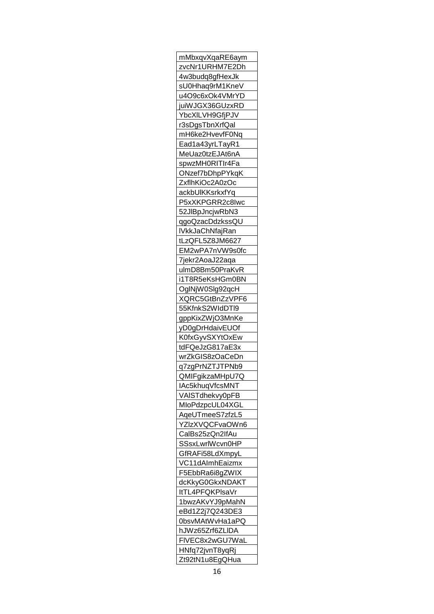| mMbxqvXqaRE6aym         |
|-------------------------|
| zvcNr1URHM7E2Dh         |
| 4w3budq8gfHexJk         |
| sU0Hhaq9rM1KneV         |
| u4O9c6xOk4VMrYD         |
| juiWJGX36GUzxRD         |
| <u>YbcXILVH9GfjPJV</u>  |
| r3sDgsTbnXrfQal         |
| mH6ke2HvevfF0Nq         |
| Ead1a43yrLTayR1         |
| MeUaz0tzEJAt6nA         |
| spwzMH0RITIr4Fa         |
| ONzef7bDhpPYkqK         |
|                         |
| ZxflhKiOc2A0zOc         |
| ackbUlKKsrkxfYq         |
| P5xXKPGRR2c8Iwc         |
| 52JIBpJncjwRbN3         |
| qgoQzacDdzkssQU         |
| lVkkJaChNfajRan         |
| tLzQFL5Z8JM6627         |
| EM2wPA7nVW9s0fc         |
| 7jekr2AoaJ22aqa         |
| ulmD8Bm50PraKvR         |
| i1T8R5eKsHGm0BN         |
| OglNjW0Slg92qcH         |
| XQRC5GtBnZzVPF6         |
| 55KfnkS2WIdDTI9         |
| gppKixZWjO3MnKe         |
| yD0gDrHdaivEUOf         |
| K0fxGyvSXYtOxEw         |
| tdFQeJzG817aE3x         |
| wrZkGIS8zOaCeDn         |
| q7zgPrNZTJTPNb9         |
| QMIFgikzaMHpU7Q         |
| IAc5khuqVfcsMNT         |
| VAISTdhekvy0pFB         |
|                         |
| MIoPdzpcUL04XGL         |
| AqeUTme <u>eS7zfzL5</u> |
| YZIzXVQCFvaOWn6         |
| CalBs25zQn2lfAu         |
| SSsxLwrlWcvn0HP         |
| GfRAFi58LdXmpyL         |
| VC11dAlmhEaizmx         |
| F5EbbRa6i8gZWIX         |
| dcKkyG0GkxNDAKT         |
| ltTL4PFQKPlsaVr         |
| <u>1bwzAKvYJ9pMahN</u>  |
| eBd1Z2j7Q243DE3         |
| 0bsvMAtWvHa1aPQ         |
| hJWz65Zrf6ZLIDA         |
| FIVEC8x2wGU7WaL         |
| HNfq72jvnT8yqRj         |
| Zt92tN1u8EgQHua         |
|                         |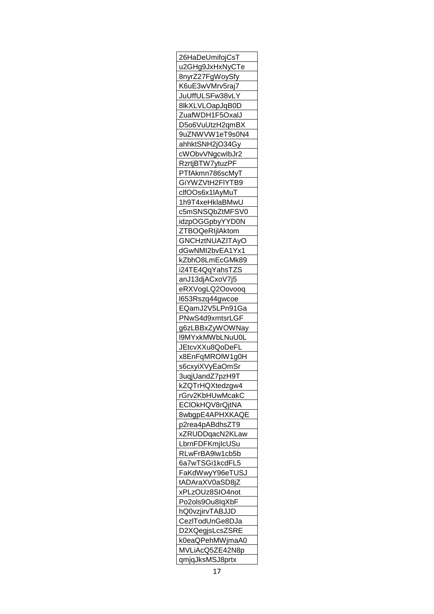| 26HaDeUmifojCsT                    |
|------------------------------------|
| u2GHg9JxHxNyCTe                    |
| 8nyrZ27FgWoySfy                    |
| K6uE3wVMrv5raj7                    |
| JuUffULSFw38vLY                    |
| 8lkXLVLOapJqB0D                    |
| ZuafWDH1F5OxalJ                    |
| D5o6VuUtzH2qmBX                    |
| 9uZNWVW1eT9s0N4                    |
| ahhkt <u>SNH2jO34Gy</u>            |
| cWObvVNgcwlbJr2                    |
|                                    |
| RzrtjBTW7ytuzPF                    |
| PTfAkmn786scMyT                    |
| GiYWZVtH2FIYTB9                    |
| clfOOs6x1IAyMuT                    |
| 1h9T4xeHklaBMwU                    |
| c5mSNSQbZtMFSV0                    |
| idzpOGGpbyYYD0N                    |
| ZTBOQeRIjlAktom                    |
| GNCHztNUAZITAyO                    |
| dGwNMI2bvEA1Yx1                    |
| kZbhO8LmEcGMk89                    |
| i24TE4QqYahsTZS                    |
| anJ13djACxoV7j5                    |
| eRXVogLQ2Oovooq                    |
|                                    |
| I653Rszq44gwcoe                    |
| EQamJ2V5LPn91Ga                    |
| PNwS4d9xmtsrLGF                    |
| g6zLBBxZyWOWNay                    |
| I9MYxkMWbLNuU0L                    |
| <u>JEtcvXXu8QoDeFL</u>             |
| x8EnFqMROIW1g0H                    |
| s6cxyiXVyEaOmSr                    |
| 3uqjUandZ7pzH9 <mark>T</mark>      |
| kZQTrHQXtedzgw4                    |
| rGrv2KbHUwMcakC                    |
| ECIOkHQV8rQjtNA                    |
| 8wbgpE4APHXKAQE                    |
| p2rea4pABdhsZT9                    |
| xZRUDDqacN2KLaw                    |
| LbrnFDFKmjlcUSu                    |
| RLwFrBA9lw1cb5b                    |
|                                    |
| 6a7wTSGi1kcdFL5                    |
| FaKdWwyY96eTUSJ                    |
| tADAraXV0aSD8jZ                    |
|                                    |
| xPLzOUz8SIO4not                    |
| Po2ols9Ou8IqXbF                    |
| <u>hQ0vzjirvTABJJD</u>             |
| CezlTodUnGe8DJa                    |
| D2XQegjsLcsZSRE                    |
|                                    |
| k0eaQPehMWjmaA0                    |
| MVLiAcQ5ZE42N8p<br>qmjqJksMSJ8prtx |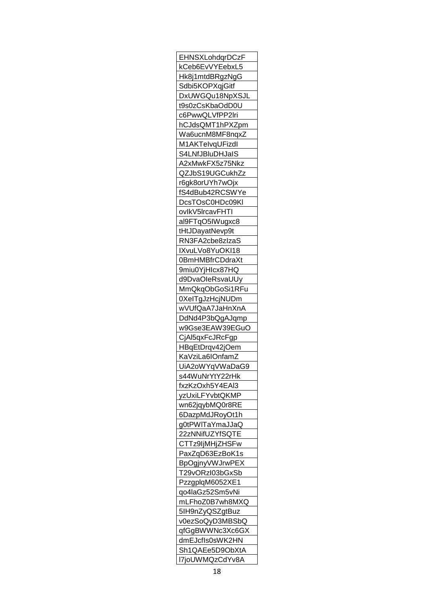| EHNSXLohdqrDCzF               |
|-------------------------------|
| kCeb6EvVYEebxL5               |
| Hk8j1mtdBRgzNgG               |
| Sdbi5KOPXqjGitf               |
| DxUWGQu18NpXSJL               |
| t9s0zCsKbaOdD0U               |
| c6PwwQLVfPP2Iri               |
| hCJdsQMT1hPXZpm               |
| Wa6ucnM8MF8nqxZ               |
| M1AKTelvqUFizdl               |
| S4LNfJBluDHJaIS               |
|                               |
| A2xMwkFX5z75Nkz               |
| QZJbS19UGCukhZz               |
| r6gk8orUYh7wOjx               |
| fS4dBub42RCSWYe               |
| DcsTOsC0HDc09KI               |
| ovlkV5lrcavFHTI               |
| al9FTqO5IWugxc8               |
| tHtJDayatNevp9t               |
| RN3FA2cbe8zIzaS               |
| IXvuLVo8YuOKI18               |
| 0BmHMBfrCDdraXt               |
| 9miu0YjHIcx87HQ               |
| d9DvaOleRsvaUUy               |
| MmQkqObGoSi1RFu               |
| 0XeITgJzHcjNUDm               |
| wVUfQaA7JaHnXnA               |
| DdNd4P3bQgAJqmp               |
| w9Gse3EAW39EGuO               |
|                               |
| CjAl5qxFcJRcFgp               |
| HBqEtDrqv42jOem               |
| KaVziLa6IOnfamZ               |
| UiA2oWYqVWaDaG9               |
| s44WuNrYtY22rH <mark>k</mark> |
| fxzKzOxh5Y4EAI3               |
| yzUxiLFYvbtQKMP               |
| wn62jqybMQ0r8RE               |
| 6DazpMdJRoyOt1h               |
| g0tPWITaYmaJJaQ               |
| 22zNNifUZYfSQTE               |
| CTTz9IjMHjZHSFw               |
| PaxZqD63EzBoK1s               |
| BpOgjnyVWJrwPEX               |
| T29vORzl03bGxSb               |
| PzzgplqM6052XE1               |
| qo4laGz52Sm5vNi               |
| mLFhoZ0B7wh8MXQ               |
| 5IH9nZyQSZgtBuz               |
|                               |
| v0ezSoQyD3MBSbQ               |
| qfGgBWWNc3Xc6GX               |
| dmEJcfIs0sWK2HN               |
| Sh1QAEe5D9ObXtA               |
| I7joUWMQzCdYv8A               |
|                               |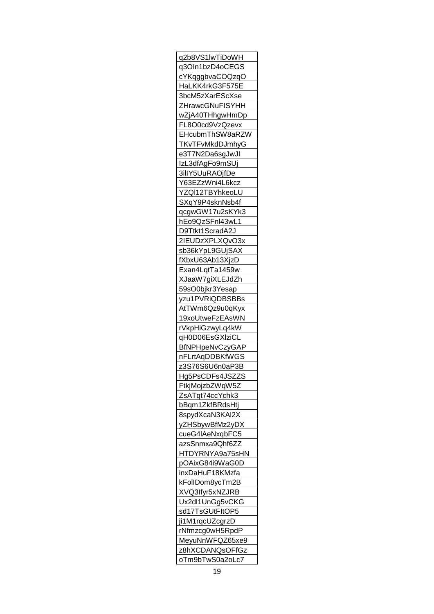| q2b8VS1IwTiDoWH                           |
|-------------------------------------------|
| q3OIn1bzD4oCEGS                           |
| cYKqggbvaCOQzqO                           |
| HaLKK4rkG3F575E                           |
| 3bcM5zXarEScXse                           |
| ZHrawcGNuFISYHH                           |
| wZjA40THhgwHmDp                           |
| FL8O0cd9VzQzevx                           |
| EHcubmThSW8aRZW                           |
| TKvTFvMkdDJmhyG                           |
| e3T7N2Da6sgJwJl                           |
| IzL3dfAgFo9mSUj                           |
| 3illY5UuRAOjfDe                           |
| Y63EZzWni4L6kcz                           |
| YZQI12TBYhkeoLU                           |
| SXqY9P4sknNsb4f                           |
| qcgwGW17u2sKYk3                           |
|                                           |
| hEo9QzSFnl43wL1                           |
| D9Ttkt1ScradA2J                           |
| 2IEUDzXPLXQvO3x                           |
| sb36kYpL9GUjSAX                           |
| fXbxU63Ab13XjzD                           |
| Exan4LqtTa1459w                           |
| XJaaW7giXLEJdZh                           |
| 59sO0bjkr3Yesap                           |
| yzu1PVRiQDBSBBs                           |
| AtTWm6Qz9u0qKyx                           |
|                                           |
| <u>19xoUtweFzEAsWN</u><br>rVkpHiGzwyLq4kW |
| qH0D06EsGXIziCL                           |
| BfNPHpeNvCzyGAP                           |
| nFLrtAqDDBKfWGS                           |
| z3S76S6U6n0aP3B                           |
| Hg5PsCDFs4JSZZS                           |
| FtkjMojzbZWqW5Z                           |
| ZsATqt74ccYchk3                           |
|                                           |
| bBqm1ZkfBRdsHtj                           |
| 8spydXcaN3KAI2X                           |
| yZHSbywBfMz2yDX                           |
| cueG4IAeNxqbFC5                           |
| azsSnmxa9Qhf6ZZ                           |
| HTDYRNYA9a75sHN                           |
| pOAixG84i9WaG0D                           |
| inxDaHuF18KMzfa                           |
| kFollDom8ycTm2B                           |
| XVQ3Ifyr5xNZJRB                           |
| Ux2dl1UnGg5vCKG                           |
| sd17TsGUtFltOP5                           |
| ji1M1rqcUZcgrzD                           |
| rNfmzcg0wH5RpdP                           |
| MeyuNnWFQZ65xe9                           |
| z8hXCDANQsOFfGz                           |
| oTm9bTwS0a2oLc7                           |
|                                           |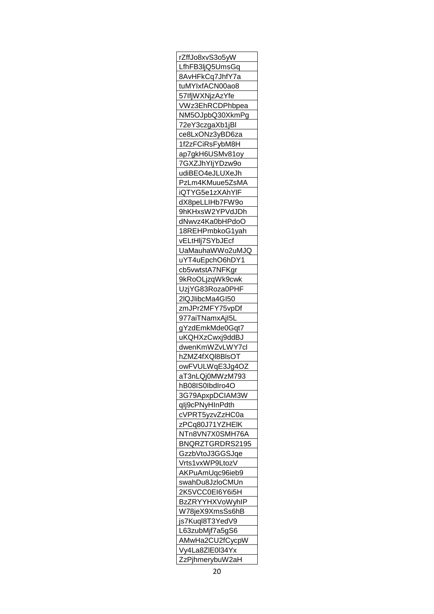| rZffJo8xvS3o5yW         |
|-------------------------|
| LfhFB3ljQ5UmsGq         |
| 8AvHFkCq7JhfY7a         |
| tuMYIxfACN00ao8         |
| 57IfjW <u>XNjzAzYfe</u> |
| VWz3EhRCDPhbpea         |
| NM5OJpbQ30XkmPg         |
| 72eY3czgaXb1jBl         |
| ce8LxONz3yBD6za         |
| 1f2zFCiRsFybM8H         |
| ap7gkH6USMv81oy         |
| 7G <u>XZJhYljYDzw9o</u> |
| udiBEO4eJLUXeJh         |
|                         |
| PzLm4KMuue5ZsMA         |
| iQTYG5e1zXAhYIF         |
| dX8peLLIHb7FW9o         |
| 9hKHxsW2YPVdJDh         |
| dNwvz4Ka0bHPdoO         |
| 18REHPmbkoG1yah         |
| vELtHlj7SYbJEcf         |
| UaMauhaWWo2uMJQ         |
| uYT4uEpchO6hDY1         |
| cb5vwtstA7NFKgr         |
| 9kRoOLjzqWk9cwk         |
| UzjYG83Roza0PHF         |
| 2lQJlibcMa4GI50         |
| <u>zmJPr2MFY75vpDf</u>  |
| <u>977aiTNamxAjI5L</u>  |
| gYzdEmkMde0Gqt7         |
| uKQHXzCwxj9ddBJ         |
| <u>dwenKmWZvLWY7cl</u>  |
| hZMZ4fXQI8BIsOT         |
| owFVULWgE3Jg4OZ         |
|                         |
| <u>aT3nLQj0MWzM793</u>  |
| hB08IS0IbdIro4O         |
| 3G79ApxpDCIAM3W         |
| qlj9cPNyHInPdth         |
| cVPRT5yzvZzHC0a         |
| zPCq80J71YZHEIK         |
| NTn8VN7X0SMH76A         |
| BNQRZTGRDRS2195         |
| GzzbVtoJ3GGSJqe         |
| Vrts1vxWP9LtozV         |
| AKPuAmUqc96ieb9         |
| swahDu8JzloCMUn         |
| 2K5VCC0EI6Y6i5H         |
| BzZRYYHXVoWyhIP         |
| <u>W78jeX9XmsSs6hB</u>  |
| js7Kuql8T3YedV9         |
| L63zubMjf7a5gS6         |
| AMwHa2CU2fCycpW         |
| <u>Vy4La8ZIE0I34Yx</u>  |
| ZzPjhmerybuW2aH         |
|                         |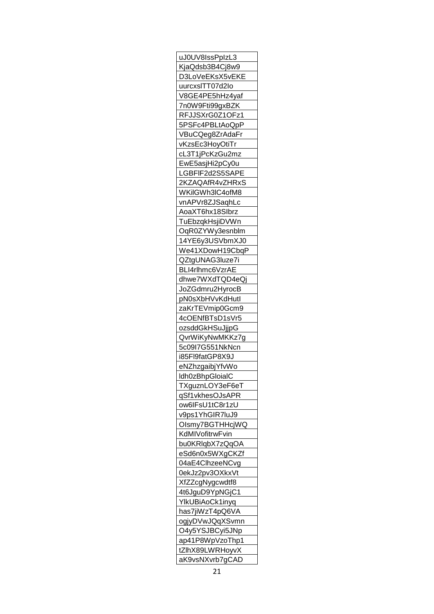| uJ0UV8IssPplzL3               |
|-------------------------------|
| KjaQdsb3B4Cj8w9               |
| D3LoVeEKsX5vEKE               |
|                               |
| <u>uurcxslTT07d2lo</u>        |
| V8GE4PE5hHz4yaf               |
| 7n0W9Fti99gxBZK               |
| RFJJSXrG0Z1OFz1               |
| 5PSFc4PBLtAoQpP               |
| VBuCQeg8ZrAdaFr               |
| vKzsEc3HoyOtiTr               |
| cL3T1jPcKzGu2mz               |
| EwE5asjHi2pCy0u               |
| LGBFIF2d2S5SAPE               |
| 2KZAQAfR4vZHRxS               |
| WKilGWh3IC4ofM8               |
| vnAPVr8ZJSaqhLc               |
| AoaXT6hx18Slbrz               |
|                               |
| TuEbzqkHsjiDVWn               |
| OqR0ZYWy3esnblm               |
| 14YE6y3USVbmXJ0               |
| We41XDowH19CbqP               |
| QZtgUNAG3luze7i               |
| BLI4rlhmc6VzrAE               |
| dhw <u>e7WXdTQD4eQ</u> j      |
| JoZGdmru2HyrocB               |
| pN0sXbHVvKdHutl               |
| zaKrTEVmip0Gcm9               |
| 4cOENfBTsD1sVr5               |
| ozsddGkHSuJjjpG               |
| QvrWiKyNwMKKz7g               |
| 5c09l7G551NkNc <mark>n</mark> |
| i85Fl9fatGP8X9J               |
| eNZhzgaibjYfvWo               |
| Idh0zBhpGloialC               |
|                               |
| TXguznLOY3eF6eT               |
| qSf1vkhesOJsAPR               |
| ow6lFsU1tC8r1zU               |
| v9ps1YhGIR7luJ9               |
| Olsmy7BGTHHcjWQ               |
| KdMIVofitrwFvin               |
| bu0KRIqbX7zQqOA               |
| eSd6n0x5WXgCKZf               |
| 04aE4ClhzeeNCvg               |
| 0ekJz2pv3OXkxVt               |
| XfZZcgNygcwdtf8               |
| 4t6JguD9YpNGjC1               |
| YlkUBiAoCk1inyq               |
| has7jiWzT4pQ6VA               |
| ogjyDVwJQqXSvmn               |
| O4y5YSJBCyi5JNp               |
| ap41P8WpVzoThp1               |
|                               |
| tZlhX89LWRHoyvX               |
| aK9vsNXvrb7gCAD               |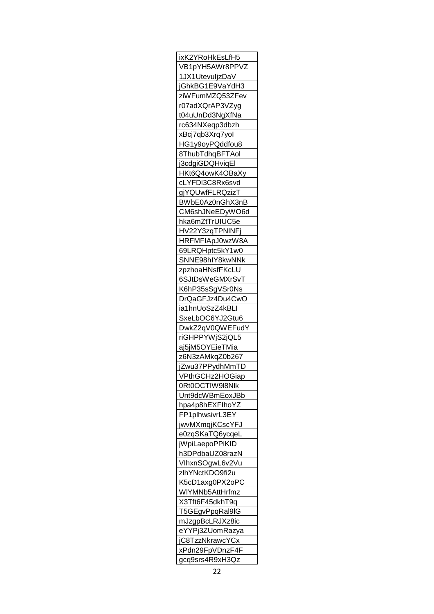| ixK2YRoHkEsLfH5              |
|------------------------------|
| VB1pYH5AWr8PPVZ              |
| 1JX1UtevuljzDaV              |
| jGhkBG1E9VaYdH3              |
| ziWFumMZQ53ZFev              |
| r07adXQrAP3VZyg              |
| t04uUnDd3NgXfNa              |
| rc634NXeqp3dbzh              |
| xBcj7qb3Xrq7yol              |
| HG1y9oyPQddfou8              |
| 8ThubTdhqBFTAol              |
|                              |
| j3cdgiGDQHviqEl              |
| HKt6Q4owK4OBaXy              |
| cLYFDI3C8Rx6svd              |
| gjYQUwfFLRQzizT              |
| BWbE0Az0nGhX3nB              |
| CM6shJNeEDyWO6d              |
| hka6mZtTrUIUC5e              |
| HV22Y3zqTPNINFj              |
| HRFMFIApJ0wzW8A              |
| 69LRQHptc5kY1w0              |
| SNNE <u>98hIY8kwNNk</u>      |
| zpzhoaHNsfFKcLU              |
| 6SJtDsWeGMXrSvT              |
| K6hP35sSgVSr0Ns              |
|                              |
| DrQaGFJz4Du4CwO              |
| ia1hnUoSzZ4kBLI              |
| SxeLbOC6YJ2Gtu6              |
| DwkZ2qV0QWEFudY              |
| riGHPPYWjS2jQL5              |
| aj5jM5OYEieTMia              |
| z6N3zAMkqZ0b267              |
| <u>jZwu37PPydhMmTD</u>       |
| VPthGCHz2HOGiap              |
| 0Rt0OCTIW9 <sup>1</sup> 8Nlk |
| Unt9dcWBmEoxJBb              |
| hpa4p8hEXFlhoYZ              |
| FP1plhwsivrL3EY              |
| jwvMXmqjKCscYFJ              |
|                              |
|                              |
| e0zqSKaTQ6ycqeL              |
| jWpiLaepoPPiKID              |
| h3DPdbaUZ08razN              |
| VlhxnSOgwL6v2Vu              |
| zlhYNctKDO9fi2u              |
| K5cD1axg0PX2oPC              |
| WIYMNb5AttHrfmz              |
| X3Tft6F45dkhT9q              |
| T5GEgvPpqRal9IG              |
| mJzgpBcLRJXz8ic              |
| eYYPj3ZUomRazya              |
| jC8TzzNkrawcYCx              |
| xPdn29FpVDnzF4F              |
| gcq9srs4R9xH3Qz              |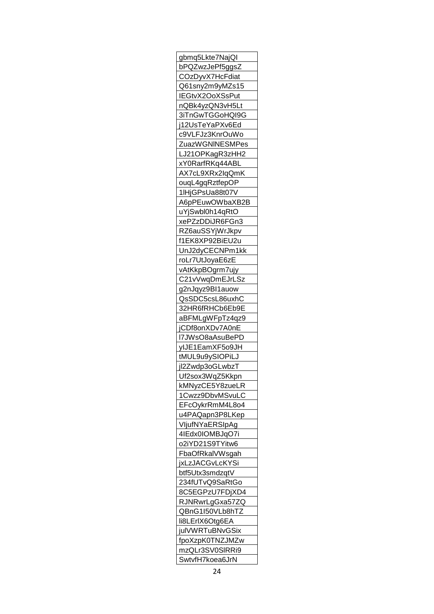| gbmq5Lkte7NajQl              |
|------------------------------|
| bPQZwzJePf5ggsZ              |
| CO <sub>Z</sub> DyvX7HcFdiat |
| Q61sny2m9yMZs15              |
| IEGtvX2OoXSsPut              |
| nQBk4yzQN3vH5Lt              |
| 3iTnGwTGGoHQI9G              |
| j12UsTeYaPXv6Ed              |
| c9VLFJz3KnrOuWo              |
| ZuazWGNINESMPes              |
| LJ21OPKagR3zHH2              |
|                              |
| xY0RarfRKq44ABI              |
| AX7cL9XRx2lqQmK              |
| ouqL4gqRztfepOP              |
| 1lHjGPsUa88t07V              |
| A6pPEuwOWbaXB2B              |
| uYjSwbl0h14qRtO              |
| xePZzDDiJR6FGn3              |
| RZ6auSSYjWrJkpv              |
| f1EK8XP92BiEU2u              |
| UnJ2dyCECNPm1kk              |
| roLr7UtJoyaE6zE              |
| vAtKkpBOgrm7ujy              |
| C21vVwqDmEJrLSz              |
| g2nJqyz9BI1auow              |
| QsSDC5csL86uxhC              |
| 32HR6fRHCb6Eb9E              |
|                              |
| aBFMLgWFpTz4qz9              |
| jCDf8onXDv7A0nE              |
| 17JWsO8aAsuBePD              |
| <u>yIJE1EamXF5o9JH</u>       |
| tMUL9u9ySIOPiLJ              |
| jl2Zwdp3oGLwbzT              |
| Uf2sox3WqZ5Kkpn              |
| kMNyzCE5Y8zueLR              |
| 1Cwzz9DbvMSvuLC              |
| EFcOykrRmM4L804              |
| u4PAQapn3P8LKep              |
| VljufNYaERSIpAg              |
| 4IEdx0IOMBJqO7i              |
| o2iYD21S9TYitw6              |
| FbaOfRkalVWsgah              |
| jxLzJACGvLcKYSi              |
| btf5Utx3smdzqtV              |
| 234fUTvQ9SaRtGo              |
| 8C5EGPzU7FDjXD4              |
|                              |
| RJNRwrLgGxa57ZQ              |
| QBnG1I50VLb8hTZ              |
| li8LErlX6Otg6EA              |
| julVWRTuBNvGSix              |
| fpoXzpK0TNZJMZw              |
| mzQLr3SV0SIRRi9              |
| SwtvfH7koea6JrN              |
|                              |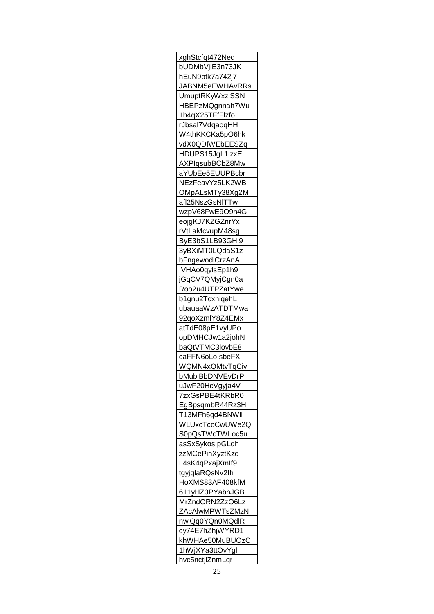| xghStcfqt472Ned                |
|--------------------------------|
| bUDMbVjIE3n73JK                |
| hEuN9ptk7a742j7                |
| JABNM5eEWHAvRRs                |
| UmuptRKyWxziSSN                |
| HBEPzMQgnnah7Wu                |
| 1h4qX25TFfFlzfo                |
| rJbsal7VdqaoqHH                |
| W4thKKCKa5pO6hk                |
| vdX0QDfWEbEESZq                |
|                                |
| HDUPS15JgL1lzxE                |
| AXPIgsubBCbZ8Mw                |
| aYUbEe5EUUPBcbr                |
| NEzFeavYz5LK2WB                |
| OMpALsMTy38Xg2M                |
| afl25NszGsNITTw                |
| wzpV68FwE9O9n4G                |
| eojgKJ7KZGZnrYx                |
| rVtLaMcvupM48sg                |
| ByE3bS1LB93GHI9                |
| 3yBXiMT0LQdaS1z                |
| bFngewodiCrzAnA                |
| IVHAo0qylsEp1h9                |
| jGqCV7QMyjCgn0a                |
| Roo2u4UTPZatYwe                |
| b1gnu2TcxniqehL                |
|                                |
| ubauaaWzATDTMwa                |
| 92qoXzmlY8Z4EMx                |
| atTdE08pE1vyUPo                |
| opDMHCJw1a2johN                |
| baQtVTMC3lovbE8                |
| caFFN6oLoIsbeFX                |
| WQMN4xQMtvTqCiv                |
| bMubiBbDNVEvDrP                |
| uJwF20HcVgyja4V                |
| 7zxGsPBE4tKRbR0                |
| EgBps <mark>qmbR44Rz3H</mark>  |
| T13MFh6qd4BNW <mark>I</mark> I |
| WLUxcTcoCwUWe2Q                |
| S0pQsTWcTWLoc5u                |
| asSxSykosIpGLqh                |
| zzMCePinXyztKzd                |
| L4sK4qPxajXmlf9                |
| tgyjqlaRQsNv2lh                |
|                                |
| HoXMS83AF408kfM                |
| 611yHZ3PYabhJGB                |
| MrZndORN2ZzO6Lz                |
| ZAcAIwMPWTsZMzN                |
| nwiQq0YQn0MQdlR                |
| cy74E7hZhjWYRD1                |
| khWHAe50MuBUOzC                |
| 1hWjXYa3ttOvYgl                |
| hvc5nctjlZnmLqr                |
|                                |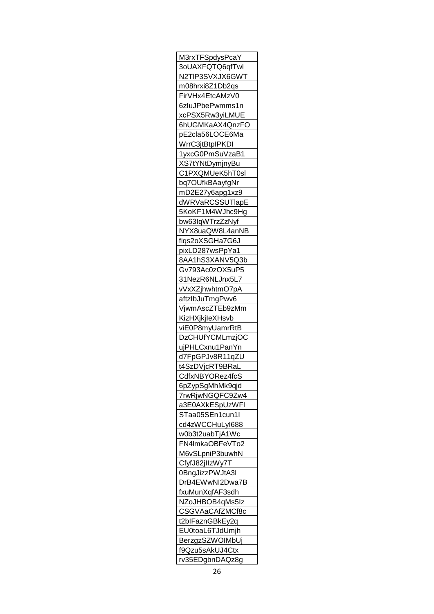| M3rxTFSpdysPcaY               |
|-------------------------------|
| <u>3oUAXFQTQ6qfTwl</u>        |
| N2TIP3SVXJX6GWT               |
| m08hrxi8Z1Db2qs               |
| FirVHx4EtcAMzV0               |
| 6zluJPbePwmms1n               |
| xcPSX5Rw3yiLMUE               |
| 6hUGMKaAX4QnzFO               |
| pE2cla56LOCE6Ma               |
| WrrC3jtBtpIPKDI               |
| 1yxcG0PmSuVzaB1               |
| XS7tYNtDymjnyBu               |
| C1PXQMUeK5hT0sl               |
| bq7OUfkBAayfgNr               |
|                               |
| mD2E27y6apg1xz9               |
| dWRVaRCSSUTlapE               |
| 5KoKF1M4WJhc9Hg               |
| bw63lqWTrzZzNyf               |
| NYX8uaQW8L4anNB               |
| fiqs2oXSGHa7G6J               |
| pixLD287wsPpYa1               |
| 8AA1hS3XANV5Q3b               |
| Gv793Ac0zOX5uP5               |
| 31NezR6NLJnx5L7               |
| vVxXZjhwhtmO7pA               |
| aftzIbJuTmgPwv6               |
| VjwmAscZTEb9zMm               |
| KizHXjkjleXHsvb               |
| viE0P8myUamrRtB               |
| DzCHUfYCMLmzjOC               |
| ujPHLCxnu1PanYn               |
| d7FpGPJv8R11qZU               |
| t4SzDVjcRT9BRa <mark>l</mark> |
| CdfxNBYORez4fcS               |
| 6pZypSgMhMk9qjd               |
| 7rwRjwNGQFC9Zw4               |
| a3E0AXkESpUzWFI               |
| STaa05SEn1cun1l               |
| cd4zWCCHuLyI688               |
| w0b3t2uabTjA1Wc               |
| FN4lmkaOBFeVTo2               |
|                               |
| M6vSLpniP3buwhN               |
| CfyfJ82j <mark>llzWy7T</mark> |
| 0BngJizzPWJtA3I               |
| DrB4EWwNI2Dwa7B               |
| fxuMunXqfAF3sdh               |
| NZoJHBOB4qMs5Iz               |
| CSGVAaCAfZMCf8c               |
| t2blFaznGBkEy2q               |
| EU0toaL6TJdUmjh               |
| BerzgzSZWOIMbUj               |
| f9Qzu5sAkUJ4Ctx               |
| rv35EDgbnDAQz8g               |
|                               |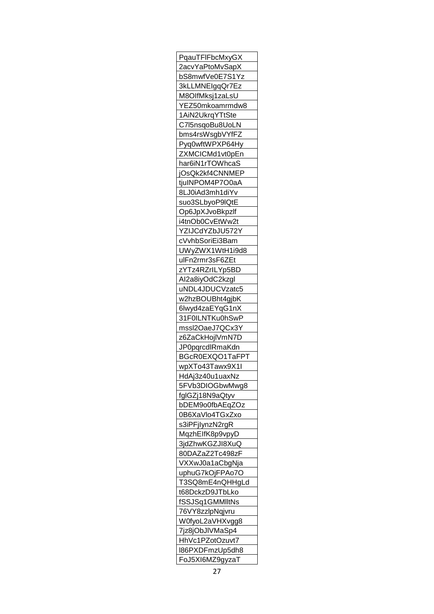| PqauTFIFbcMxyGX                |
|--------------------------------|
| 2acvYaPtoMvSapX                |
| bS8mwfVe0E7S1Yz                |
| 3kLLMNEIgqQr7Ez                |
| M8OlfMksj1zaLsU                |
| YEZ50mkoamrmdw8                |
| 1AiN2UkrqYTtSte                |
| C7l5nsqoBu8UoLN                |
| bms4rsWsgbVYfFZ                |
| Pyq0wftWPXP64Hy                |
| ZXMCICMd1vt0pEn                |
|                                |
| har6iN1rTOWhcaS                |
| jOsQk2kf4CNNMEP                |
| tjuINPOM4P7O0aA                |
| 8LJ0iAd3mh1diYv                |
| suo3SLbyoP9IQtE                |
| Op6JpXJvoBkpzlf                |
| i4tnOb0CvEtWw2t                |
| <u>YZIJCdYZbJU572Y</u>         |
| cVvhbSoriEi3Bam                |
| UWyZWX1WtH1i9d8                |
| ulFn2rmr3sF6ZEt                |
| zYTz4RZrILYp5BD                |
| Al2a8iyOdC2kzgl                |
| uNDL4JDUCVzatc5                |
| w2hzBOUBht4gjbK                |
| 6lwyd4zaEYqG1nX                |
| 31F0ILNTKu0hSwP                |
| mssl2OaeJ7QCx3Y                |
| z6ZaCkHojlVmN7D                |
|                                |
| JP0pqrcdlRmaKdn                |
| BGcR0EXQO1TaFPT                |
| wpXTo43Tawx9X <mark>1</mark> I |
| HdAj3z40u1uaxNz                |
| 5FVb3DIOGbwMwg8                |
| fglGZj18N9aQtyv                |
| bDEM9o0fbAEqZOz                |
| 0B6XaVlo4TGxZxo                |
| s3iPFjlynzN2rgR                |
| MqzhElfK8p9vpyD                |
| 3jdZhwKGZJI8XuQ                |
| 80DAZaZ2Tc498zF                |
| <u>VXXwJ0a1aCbgNja</u>         |
| uphuG7kOjFPAo7O                |
| T3SQ8mE4nQHHgLd                |
| t68DckzD9JTbLko                |
| fSSJSq1GMMlltNs                |
| 76VY8zzlpNqjvru                |
|                                |
| W0fyoL2aVHXvgg8                |
| 7jz8jObJIVMaSp4                |
| HhVc1PZotOzuvt7                |
| I86PXDFmzUp5dh8                |
| FoJ5XI6MZ9gyzaT                |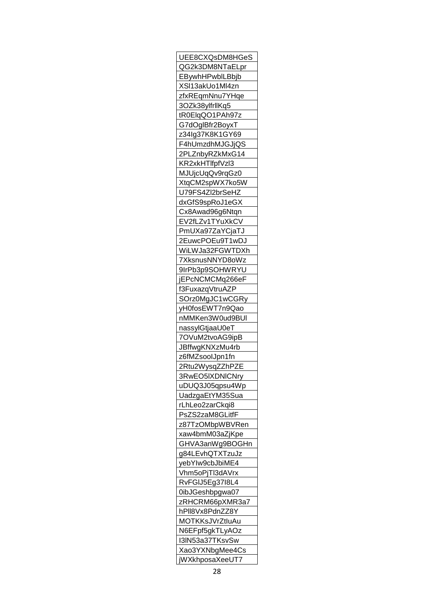| UEE8CXQsDM8HGeS               |
|-------------------------------|
| QG2k3DM8NTaELpr               |
| EBywhHPwblLBbjb               |
| XSI13akUo1Ml4zn               |
| zfxREqmNnu7YHqe               |
| 3OZk38ylfrllKq5               |
| tR0ElqQO1PAh97z               |
| G7dOglBfr2BoyxT               |
| z34lg37K8K1GY69               |
| F4hUmzdhMJGJjQS               |
| 2PLZnbyRZkMxG14               |
| KR2xkHTlfpfVzl3               |
| MJUjcUqQv9rqGz0               |
| XtqCM2spWX7ko5W               |
| U79FS4Zl2brSeHZ               |
| dxGfS9spRoJ1eGX               |
| Cx8Awad96g6Ntqn               |
|                               |
| EV2fLZv1TYuXkCV               |
| PmUXa97ZaYCjaTJ               |
| 2EuwcPOEu9T1wDJ               |
| Wi <mark>LWJa32FGWTDXh</mark> |
| 7XksnusNNYD8oWz               |
| 9IrPb3p9SOHWRYU               |
| jEPcNCMCMq266eF               |
| f3FuxazqVtruAZP               |
| SOrz0MgJC1wCGRy               |
| yH0fosEWT7n9Qao               |
| nMMKen3W0ud9BUI               |
| nassylGtjaaU0eT               |
| 7OVuM2tvoAG9ipB               |
| <u>JBffwgKNXzMu4rb</u>        |
| z6fMZsoolJpn1fn               |
| 2Rtu2WysqZZhPZE               |
| 3RwEO5IXDNICNry               |
| uDUQ3J05qpsu4Wp               |
| UadzgaEtYM35Sua               |
| rLhLeo2zarCkqi8               |
| PsZS2zaM8GLitfF               |
| z87TzOMbpWBVRen               |
| xaw4bmM03aZjKpe               |
| GHVA3anWg9BOGHn               |
| g84LEvhQTXTzuJz               |
| yebYlw9cbJbiME4               |
| Vhm5oPjTl3dAVrx               |
| RvFGIJ5Eg37I8L4               |
| 0ibJGeshbpgwa07               |
| zRHCRM66pXMR3a7               |
| hPll8Vx8PdnZZ8Y               |
|                               |
| MOTKKsJVrZtluAu               |
| N6EFpf5gkTLyAOz               |
| I3IN53a37TKsvSw               |
| Xao3YXNbgMee4Cs               |
| jWXkhposaXeeUT7               |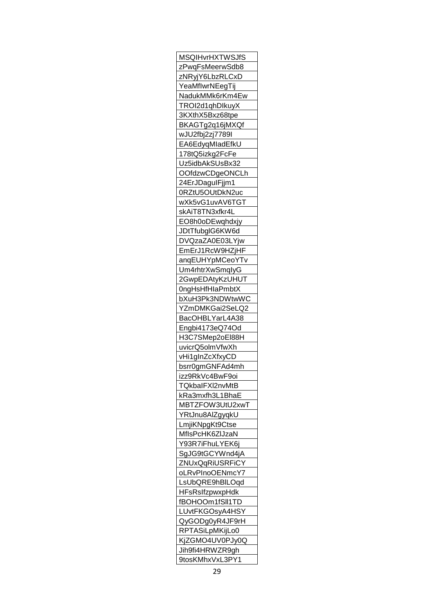| <b>MSQIHvrHXTWSJfS</b>        |
|-------------------------------|
| zPwqFsMeerwSdb8               |
| zNRyjY6LbzRLCxD               |
| YeaMflwrNEegTi <mark>j</mark> |
| NadukMMk6rKm4Ew               |
| TROI2d1qhDlkuyX               |
| 3KXthX5Bxz68tpe               |
| BKAGTg2q16jMXQf               |
| wJU2fbj2zj7789l               |
| EA6EdyqMladEfkU               |
| 178tQ5izkg2FcFe               |
| Uz5idbAkSUsBx32               |
| OOfdzwCDgeONCLh               |
|                               |
| 24ErJDagulFjjm1               |
| 0RZtU5OUtDkN2uc               |
| wXk5vG1uvAV6TGT               |
| skAiT8TN3xfkr4L               |
| EO8h0oDEwqhdxjy               |
| JDtTfubglG6KW6d               |
| DVQzaZA0E03LYjw               |
| EmErJ1RcW9HZjHF               |
| anqE <u>UHYpMCeoYTv</u>       |
| Um4rhtrXwSmqlyG               |
| 2GwpEDAtyKzUHUT               |
| 0ngHsHfHlaPmbtX               |
| bXuH3Pk3NDWtwWC               |
| YZmDMKGai2SeLQ2               |
| BacOHBLYarL4A38               |
| Engbi4173eQ74Od               |
| H3C7SMep2oEl88H               |
| uvicrQ5olmVfwXh               |
| vHi1gInZcXfxyCD               |
| bsrr0gmGNFAd4mh               |
|                               |
| izz9RkVc4BwF9oi               |
| TQkbalFXI2nvMtB               |
| kRa3mxfh3L1BhaE               |
| MBTZFOW3UtU2xwT               |
| YRtJnu8AlZgyqkU               |
| LmjiKNpgKt9Ctse               |
| MfIsPcHK6ZIJzaN               |
| Y93R7i <u>FhuLYEK6j</u>       |
| SgJG9tGCYWnd4jA               |
| ZNUxQqRiUSRFiCY               |
| oLRvPInoOENmcY7               |
| LsUbQRE9hBILOqd               |
| <b>HFsRsIfzpwxpHdk</b>        |
| fBOHOOm1fSII1TD               |
| LUvtFKGOsyA4HSY               |
| QyGODg0yR4JF9rH               |
| RPTASiLpMKijLo0               |
| KjZGMO4UV0PJy0Q               |
| Jih9fi4HRWZR9gh               |
|                               |
| 9tosKMhxVxL3PY1               |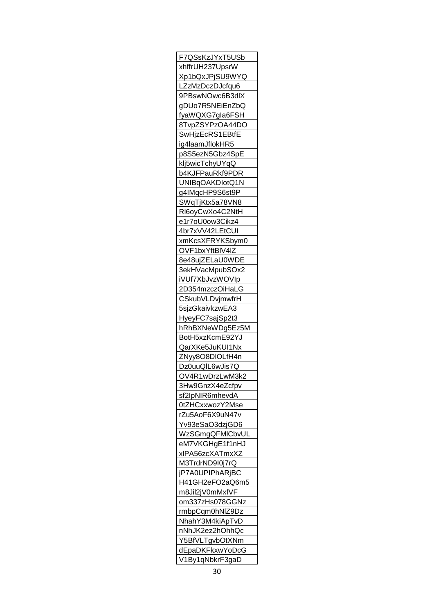| F7QSsKzJYxT5USb                    |
|------------------------------------|
| xhffrUH237UpsrW                    |
| Xp1bQxJPjSU9WYQ                    |
| LZzMzDczDJcfqu6                    |
| 9PBswNOwc6B3dlX                    |
| gDUo7R5NEiEnZbQ                    |
| fyaWQXG7gla6FSH                    |
| 8TvpZSYPzOA44DO                    |
| SwHjzEcRS1EBtfE                    |
| ig4laamJflokHR5                    |
| p8S5ezN5Gbz4SpE                    |
| klj5wicTchyUYqQ                    |
| b4KJFPauRkf9PDR                    |
| UNIBqOAKDlotQ1N                    |
|                                    |
| g4lMqcHP9S6st9P                    |
| SWqTjKtx5a78VN8                    |
| RI6oyCwXo4C2NtH                    |
| e1r7oU0ow3Cikz4                    |
| 4br7xVV42LEtCUI                    |
| xmKcsXFRYKSbym0                    |
| OVF1bxYftBIV4IZ                    |
| 8e48ujZELaU0WDE                    |
| 3ekHVacMpubSOx2                    |
| iVUf7XbJvzWOVIp                    |
| 2D354mzczOiHaLG                    |
| CSkubVLDvjmwfrH                    |
| 5sjzGkaivkzwEA3                    |
| HyeyFC7sajSp2t3                    |
|                                    |
| hRhBXNeWDg5Ez5M                    |
| BotH5xzKcmE92YJ                    |
| <u>QarXKe5JuKUI1Nx</u>             |
|                                    |
| ZNyy8O8DIOLfH4n                    |
| Dz0uuQIL6wJis7Q                    |
| OV4R1wDrzLwM3k2                    |
| 3Hw9GnzX4eZcfpv                    |
| sf2lpNIR6mhevdA                    |
| 0tZHCxxwozY2Mse                    |
| rZu5AoF6X9uN47v                    |
| Yv93eSaO3dzjGD6                    |
| WzSGmgQFMICbvUL                    |
| eM7VKGHgE1f1nHJ                    |
| xlPA56zcXATmxXZ                    |
| M3TrdrND9l0j7rQ                    |
| jP7A0UPIPhARjBC                    |
| H41GH2eFO2aQ6m5                    |
| m8Jil2jV0mMxfVF                    |
| om337zHs078GGNz                    |
| rmbpCqm0hNIZ9Dz                    |
| NhahY3M4kiApTvD                    |
|                                    |
| nNhJK2ez2hOhhQc<br>Y5BfVLTgvbOtXNm |
| dEpaDKFkxwYoDcG<br>V1By1qNbkrF3gaD |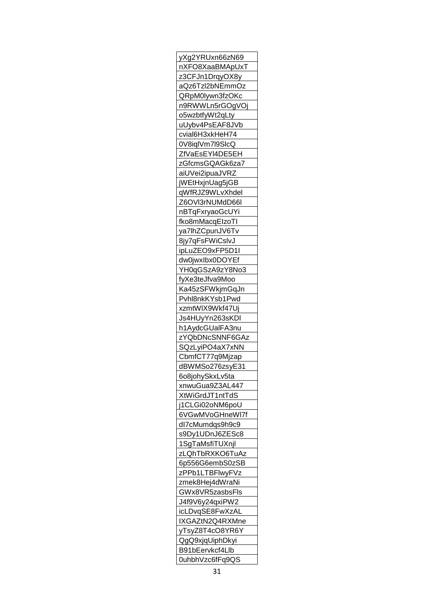| yXg2YRUxn66zN69         |
|-------------------------|
| nXFO8XaaBMApUxT         |
| z3CFJn1DrqyOX8y         |
| aQz6Tzl2bNEmmOz         |
| QRpM0lywn3fzOKc         |
| n9RWWLn5rGOgVOj         |
| o5wzbtfyWt2qLty         |
| uUybv4PsEAF8JVb         |
| cvial6H3xkHeH74         |
| 0V8iqlVm7l9SlcQ         |
| ZfVaEsEYI4DE5EH         |
| zGfcmsGQAGk6za7         |
| aiUVei2ipuaJVRZ         |
| WEtHxjnUag5jGB          |
|                         |
| qWfRJZ9WLvXhdel         |
| Z6OVI3rNUMdD66I         |
| nBTqFxryaoGcUYi         |
| fko8mMacqElzoTI         |
| ya7lhZCpunJV6Tv         |
| 8jy7qFsFWiCslvJ         |
| ipLuZEO9xFP5D1I         |
| dw0jwxIbx0DOYEf         |
| YH0qGSzA9zY8No3         |
| fyXe3teJfva9Moo         |
| Ka45zSFWkjmGqJn         |
| Pvhl8nkKYsb1Pwd         |
| xzmtWIX9Wkf47Uj         |
| Js4HUyYn263sKDI         |
| h1AydcGUalFA3nu         |
| zYQbDNcSNNF6GAz         |
| SQzLyiPO4aX7xNN         |
| CbmfCT77q9Mjzap         |
| dBWMSo276zsyE31         |
|                         |
| 6o8johySkxLv5ta         |
| xnwuGua9Z3AL447         |
| XtWiGrdJT1ntTdS         |
| j1CLGi02oNM6poU         |
| 6VGwMVoGHneWI7f         |
| dl7cMumdqs9h9c9         |
| s9Dy1UDnJ6ZESc8         |
| 1SgTaMsfiTUXnjl         |
| zLQ <u>hTbRXKO6TuAz</u> |
| 6p556G6embS0zSB         |
| zPPb1LTBFlwyFVz         |
| zmek8Hej4dWraNi         |
| GWx8VR5zasbsFls         |
| J4f9V6y24qxiPW2         |
|                         |
| icLDvqSE8FwXzAL         |
| IXGAZtN2Q4RXMne         |
| yTsyZ8T4cO8YR6Y         |
| QgQ9xjqUiphDkyi         |
| B91bEervkcf4Llb         |
| 0uhbhVzc6fFq9QS         |
|                         |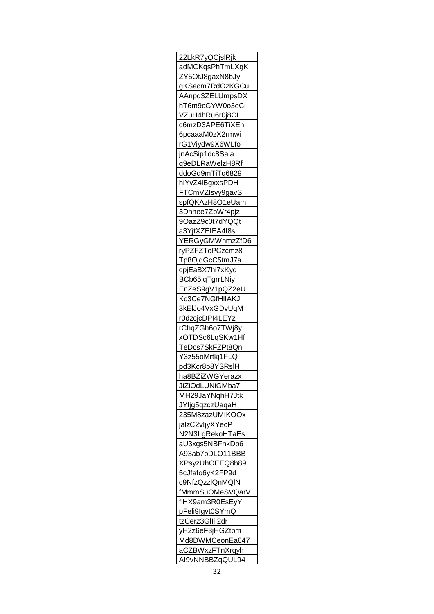| 22LkR7yQCjslRjk        |
|------------------------|
| adMCKqsPhTmLXgK        |
| ZY5OtJ8gaxN8bJy        |
| gKSacm7RdOzKGCu        |
| AAnpq3ZELUmpsDX        |
| hT6m9cGYW0o3eCi        |
| VZuH4hRu6r0j8CI        |
| c6mzD3APE6TiXEn        |
| 6pcaaaM0zX2rmwi        |
| rG1Viydw9X6WLfo        |
| jnAcSip1dc8Sala        |
| q9eDLRaWelzH8Rf        |
| ddoGq9mTiTq6829        |
| hiYvZ4lBgxxsPDH        |
| FTCmVZIsvy9gavS        |
| spfQKAzH8O1eUam        |
| 3Dhnee7ZbWr4pjz        |
| 9OazZ9c0t7dYQQt        |
| a3YjtXZEIEA4l8s        |
|                        |
| YERGyGMWhmzZfD6        |
| ryPZFZTcPCzcmz8        |
| Tp8OjdGcC5tmJ7a        |
| cpjEaBX7hi7xKyc        |
| BCb65iqTgrrLNiy        |
| EnZeS9gV1pQZ2eU        |
| Kc3Ce7NGfHIIAKJ        |
| 3kEIJo4VxGDvUqM        |
| r0dzcjcDPI4LEYz        |
| rChqZGh6o7TWj8y        |
| xOTDSc6LqSKw1Hf        |
| TeDcs7SkFZPt8Qn        |
| Y3z55oMrtkj1FLQ        |
| pd3Kcr8p8YSRsIH        |
| ha8BZiZWGYerazx        |
| <u>JiZiOdLUNiGMba7</u> |
| MH29JaYNqhH7Jtk        |
| JYljg5qzczUaqaH        |
| 235M8zazUMIKOOx        |
| jalzC2vljyXYecP        |
| N2N3LgRekoHTaEs        |
| aU3xgs5NBFnkDb6        |
| A93ab7pDLO11BBB        |
| XPsyzUhOEEQ8b89        |
| 5cJfafo6yK2FP9d        |
| c9NfzQzzlQnMQlN        |
| fMmmSuOMeSVQarV        |
| fIHX9am3R0EsEyY        |
| pFeli9lgvt0SYmQ        |
| tzCerz3GlIil2dr        |
| yH2z6eF3jHGZtpm        |
| Md8DWMCeonEa647        |
| aCZBWxzFTnXrqyh        |
| AI9vNNBBZqQUL94        |
|                        |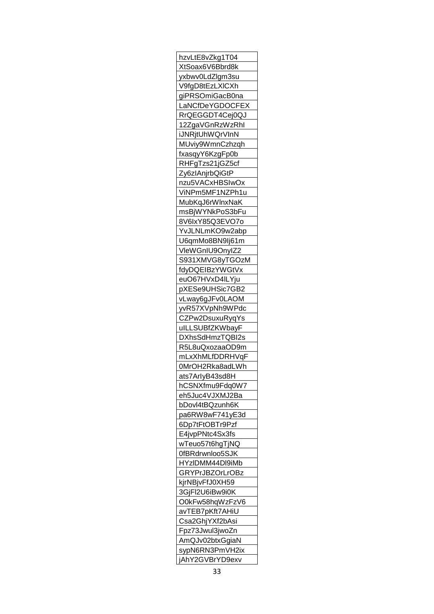| hzvLtE8vZkg1T04                           |
|-------------------------------------------|
| XtSoax6V6Bbrd8k                           |
| yxbwv0LdZlgm3su                           |
| V9fgD8tEzLXICXh                           |
| giPRSOmiGacB0na                           |
| LaNCfDeYGDOCFEX                           |
| RrQEGGDT4Cej0QJ                           |
| 12ZgaVGnRzWzRhl                           |
| iJNRjtUhWQrVInN                           |
| MUviy9WmnCzhzqh                           |
|                                           |
| fxasqyY6KzgFp0b                           |
| RHFgTzs21jGZ5cf                           |
| Zy6zlAnjrbQiGtP                           |
| nzu5VACxHBSIwOx                           |
| ViNPm5MF1NZPh1u                           |
| MubKqJ6rWlnxNaK                           |
| msBjWYNkPoS3bFu                           |
| 8V6lxY85Q3EVO7o                           |
| YvJLNLmKO9w2abp                           |
| U6qmMo8BN9Ij61m                           |
| VleWGnIU9OnyIZ2                           |
| S931XMVG8yTGOzM                           |
| fdyDQEIBzYWGtVx                           |
| euO67HVxD4ILYju                           |
| pXESe9UHSic7GB2                           |
| vLway6gJFv0LAOM                           |
| yvR57XVpNh9WPdc                           |
|                                           |
| <u>CZPw2DsuxuRyqYs</u><br>ulLLSUBfZKWbayF |
| DXhsSdHmzTQBI2s                           |
|                                           |
| R5L8uQxozaaOD9m                           |
| mLxXhMLfDDRHVqF                           |
|                                           |
| 0MrOH2Rka8adLWh                           |
| ats7ArlyB43sd8H                           |
| hCSNXfmu9Fdq0W7                           |
| eh5Juc4VJXMJ2Ba                           |
| bDovl4tBQzunh6K                           |
| pa6RW8wF741yE3d                           |
| 6Dp7tFtOBTr9Pzf                           |
|                                           |
| E4jvpPNtc4Sx3fs<br>wTeuo57t6hgTjNQ        |
|                                           |
| 0fBRdrwnloo5SJK                           |
| HYzIDMM44DI9iMb                           |
| GRYPrJBZOrLrOBz                           |
| kjrNBjvFfJ0XH59                           |
| 3GjFl2U6iBw9i0K                           |
| O0kFw58hqWzFzV6                           |
|                                           |
| avTEB7pKft7AHiU<br>Csa2GhjYXf2bAsi        |
| Fpz73Jwul3jwoZn                           |
| AmQJv02btxGgiaN                           |
| sypN6RN3PmVH2ix<br>jAhY2GVBrYD9exv        |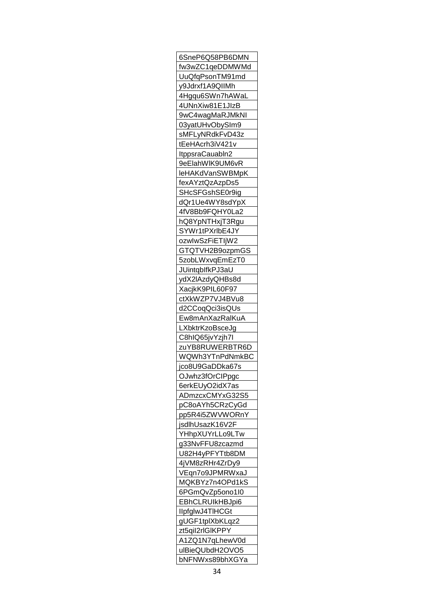| 6SneP6Q58PB6DMN                    |
|------------------------------------|
| fw3wZC1qeDDMWMd                    |
| UuQfqPsonTM91md                    |
| y9Jdrxf1A9QIIMh                    |
| 4Hgqu6SWn7hAWaL                    |
| 4UNnXiw81E1JIzB                    |
| <u>9wC4wagMaRJMkNI</u>             |
| 03yatUHvObySIm9                    |
| sMFLyNRdkFvD43z                    |
| tEeHAcrh3iV421v                    |
| ItppsraCauabln2                    |
| 9eElahWIK9UM6vR                    |
| leHAKdVanSWBMpK                    |
| fexAYztQzAzpDs5                    |
| SHcSFGshSE0r9ig                    |
|                                    |
| dQr1Ue4WY8sdYpX                    |
| 4fV8Bb9FQHY0La2                    |
| hQ8YpNTHxjT3Rgu                    |
| SYWr1tPXrlbE4JY                    |
| <u>ozwlwSzFiETIjW2</u>             |
| GTQTVH2B9ozpmGS                    |
| 5zobLWxvqEmEzT0                    |
| JUintqblfkPJ3aU                    |
| ydX2lAzdyQHBs8d                    |
| XacjkK9PIL60F97                    |
| ctXkWZP7VJ4BVu8                    |
|                                    |
|                                    |
| d2CCoqQci3isQUs                    |
| Ew8mAnXazRalKuA                    |
| LXbktrKzoBsceJg                    |
| <u>C8hIQ65jvYzjh7l</u>             |
| <u>zuYB8RUWERBTR6D</u>             |
| WQWh3YTnPdNmkBC                    |
| jco8U9GaDDka67s                    |
| OJwhz3fOrCIPpgc                    |
| 6erkEUyO2idX7as                    |
| ADmzcxCMYxG32S5                    |
| pC8oAYh5CRzCyGd                    |
| pp5R4i5ZWVWORnY                    |
| jsdlhUsazK16V2F                    |
|                                    |
| YHhpXUYrLLo9LTw<br>g33NvFFU8zcazmd |
|                                    |
| U82H4yPFYTtb8DM                    |
| 4jVM8zRHr4ZrDy9                    |
| VEqn7o9JPMRWxaJ                    |
| MQKBYz7n4OPd1kS                    |
| 6PGmQvZp5ono1l0                    |
| EBhCLRUIkHBJpi6                    |
| IlpfglwJ4TIHCGt                    |
| gUGF1tplXbKLqz2                    |
| zt5qil2rlGlKPPY                    |
| A1ZQ1N7qLhewV0d                    |
| ulBieQUbdH2OVO5<br>bNFNWxs89bhXGYa |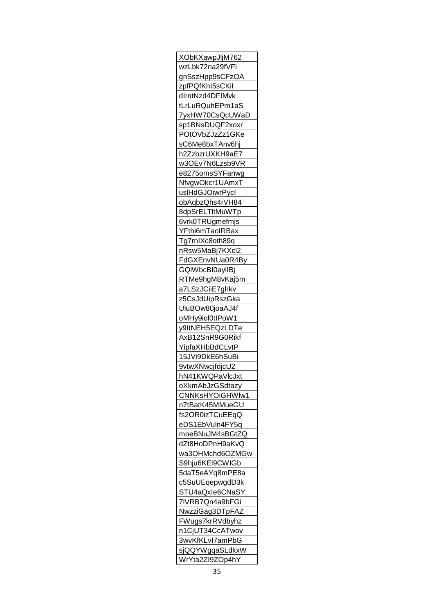| XObKXawpJljM762                            |
|--------------------------------------------|
| wzLbk72na29fVFI                            |
| gnSszHpp9sCFzOA                            |
| zpfPQfKhl5sCKil                            |
| dlrntNzd4DFIMvk                            |
| tLrLuRQuhEPm1aS                            |
| 7yxHW70CsQcUWaD                            |
| sp1BNsDUQF2xoxr                            |
| POtOVbZJzZz1GKe                            |
| sC6Me8bxTAnv6hj                            |
|                                            |
| h2ZzbzrUXKH9aE7                            |
| w3OEv7N6Lzsb9VR                            |
| e8275omsSYFanwg                            |
| NfvgwOkcr1UAmxT                            |
| uslHdGJOiwrPycl                            |
| obAqbzQhs4rVH84                            |
| 8dpSrELTItMuWTp                            |
| 6vrk0TRUgmefmjs                            |
| YFthi6mTaoIRBax                            |
| Tg7rnIXc8oth89q                            |
| nRsw5MaBj7KXcl2                            |
| FdGXEnvNUa0R4By                            |
| GQIWbcBI0ayIIBj                            |
| RTMe9hgM8vKaj5m                            |
| a7LSzJCiiE7ghkv                            |
| z5CsJdUipRszGka                            |
| UluBOw80joaAJ4f                            |
| oMHy9iol0tlPoW1                            |
|                                            |
| y9ltNEH5EQzLDTe                            |
| AxB12SnR9G0Rikf                            |
| YipfaXHbBdCLvtP                            |
| 15JVi9DkE6hSuBi                            |
| 9vtwXNwcjfdjcU2                            |
| hN4 <u>1KWQPaVlcJxt</u>                    |
| oXkmAbJzGSdtazy                            |
| CNNKsHYOiGHWlw1                            |
| n7tBatK45MMueGU                            |
| fs2OR0izTCuEEqQ                            |
| eDS1EbVuln4FY5q                            |
| moeBNuJM4sBGtZQ                            |
| dZt8HoDPnH9aKvQ                            |
| wa3OHMchd6OZMGw                            |
| S9hju6KEi9CWIGb                            |
| 5daT5eAYq8mPE8a                            |
| c5SuUEqepwgdD3k                            |
| STU4aQxle6CNaSY                            |
|                                            |
| <u>7IVRB7Qn4a9bFGi</u>                     |
| NwzziGag3DTpFAZ                            |
| FWugs7krRVdbyhz                            |
|                                            |
| n1CjUT34 <u>CcATwov</u>                    |
| 3wvKfKLv <u>I7amPbG</u>                    |
| sjQQYWgqaSLdkxW<br>WrYt <u>a2ZI9ZOp4hY</u> |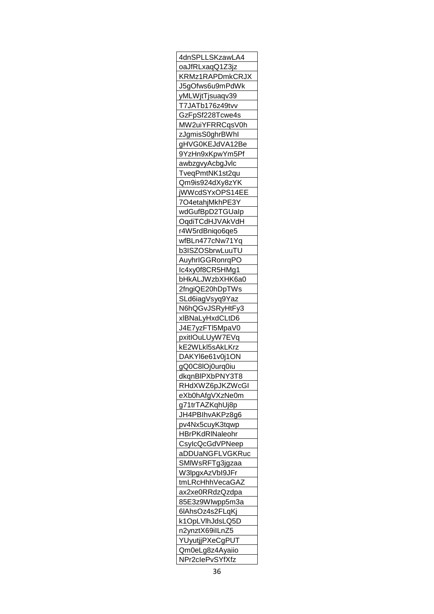| 4dnSPLLSKzawLA4               |
|-------------------------------|
| oaJfRLxaqQ1Z3jz               |
| KRMz1RAPDmkCRJX               |
| J5gOfws6u9mPdWk               |
| yMLWjtTjsuaqv39               |
| T7JATb176z49tvv               |
| GzFpSf228Tcwe4s               |
| MW2uiYFRRCqsV0h               |
| zJgmisS0ghrB <mark>Whl</mark> |
| gHVG0KEJdVA12Be               |
|                               |
| 9YzHn9xKpwYm5Pf               |
| awbzgvyAcbgJvlc               |
| TveqPmtNK1st2qu               |
| Qm9is924dXy8zYK               |
| <u>jWWcdSYxOPS14EE</u>        |
| 7O4etahjMkhPE3Y               |
| wdGufBpD2TGUalp               |
| OqdiTCdHJVAkVdH               |
| r4W5rdBniqo6qe5               |
| wfBLn477cNw71Yq               |
| b3ISZOSbrwLuuTU               |
| AuyhrIGGRonrqPO               |
| Ic4xy0f8CR5HMg1               |
| bHkALJWzbXHK6a0               |
| 2fngiQE20hDpTWs               |
| SLd6iagVsyq9Yaz               |
|                               |
| N6hQGvJSRyHtFy3               |
| xlBNaLyHxdCLtD6               |
| J4E7yzFTI5MpaV0               |
| pxitIOuLUyW7EVq               |
| <u>kE2WLkI5sAkLKrz</u>        |
| DAKYl6e61v0j1ON               |
| gQ0C8lOj0urq0iu               |
| dkqnBIPXbPNY3T8               |
| RHdX <u>WZ6pJKZWcGI</u>       |
| eXb0hAfgVXzNe0m               |
| g71trTAZKqhUj8p               |
| JH4PBIhvAKPz8g6               |
| pv4Nx5cuyK3tqwp               |
| HBrPKdRINaleohr               |
| CsylcQcGdVPNeep               |
| aDDUaNGFLVGKRuc               |
| SMIWsRFTg3jgzaa               |
| W3lpgxAzVbI9JFr               |
|                               |
| tmLRcHhhVecaGAZ               |
| ax2xe0RRdzQzdpa               |
| 85E3z9WIwpp5m3a               |
| 6IAhsOz4s2FLqKj               |
| k1OpLVlhJdsLQ5D               |
| n2ynztX69ilLnZ5               |
| YUyutjjPXeCgPUT               |
| Qm0eLg8z4Ayaiio               |
| NPr2clePvSYfXfz               |
|                               |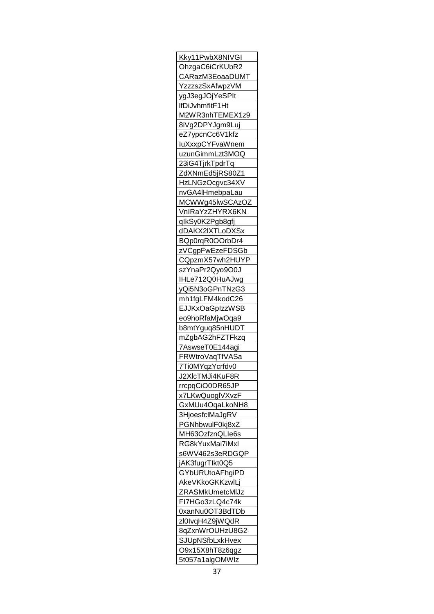| <u>Kky11PwbX8NIVGI</u>  |
|-------------------------|
| OhzgaC6iCrKUbR2         |
| CARazM3EoaaDUMT         |
| <u>YzzzszSxAfwpzVM</u>  |
| ygJ3egJOjYeSPIt         |
| lfDiJvhmfltF1Ht         |
| M2WR3nhTEMEX1z9         |
| 8iVg2DPYJgm9Luj         |
| eZ7ypcnCc6V1kfz         |
| luXxxpCYFvaWnem         |
| uzunGimmLzt3MOQ         |
| 23iG4TjrkTpdrTq         |
| ZdXNmEd5jRS80Z1         |
| HzLNGzOcgvc34XV         |
| nvGA4lHmebpaLau         |
| MCWWg45IwSCAzOZ         |
|                         |
| VnIRaY <u>zZHYRX6KN</u> |
| qlkSy0K2Pgb8gfj         |
| dDAKX2IXTLoDXSx         |
| BQp0rqR0OOrbDr4         |
| zVCgpFwEzeFDSGb         |
| CQpzmX57wh2HUYP         |
| szYnaPr2Qyo9O0J         |
| IHLe712Q0HuAJwg         |
| yQi5N3oGPnTNzG3         |
| mh1fgLFM4kodC26         |
| <b>EJJKxOaGpIzzWSB</b>  |
| eo9hoRfaMjwOqa9         |
| b8mtYguq85nHUDT         |
| mZgbAG2hFZTFkzq         |
| 7AswseT0E144agi         |
| FRWtroVaqTfVASa         |
| 7Ti0MYqzYcrfdv0         |
| J2XIcTMJi4KuF8R         |
| rrcpqCiO0DR65JP         |
| x7LKwQuoglVXvzF         |
| GxMUu4OqaLkoNH8         |
| 3HjoesfclMaJgRV         |
| PGNhbwulF0kj8xZ         |
| MH63OzfznQLIe6s         |
| RG8kYuxMai7iMxl         |
| s6WV462s3eRDGQP         |
| jAK3fugrTlkt0Q5         |
|                         |
| GYbURUtoAFhgiPD         |
| AkeVKkoGKKzwlLj         |
| ZRASMkUmetcMIJz         |
| FI7HGo3zLQ4c74k         |
| <u>0xanNu0OT3BdTDb</u>  |
| zl0lvqH4Z9jWQdR         |
| 8qZxnWrOUHzU8G2         |
| SJUpNSfbLxkHvex         |
| O9x15X8hT8z6qgz         |
| 5t057a1algOMWIz         |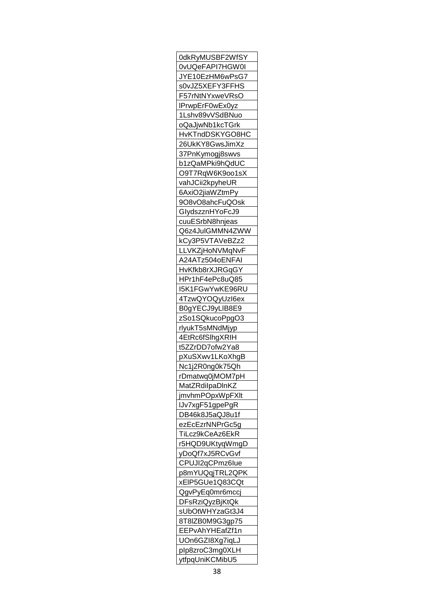| 0dkRyMUSBF2WfSY         |
|-------------------------|
| 0vUQeFAPI7HGW0I         |
| JYE10EzHM6wPsG7         |
| s0vJZ5XEFY3FFHS         |
| F57rNtNYxweVRsO         |
| IPrwpErF0wEx0yz         |
| 1Lshv89vVSdBNuo         |
| oQaJjwNb1kcTGrk         |
| HvKTndDSKYGO8HC         |
| 26UkKY8GwsJimXz         |
| 37PnKymogj8swvs         |
| b1zQaMPki9hQdUC         |
| O9T7RqW6K9oo1sX         |
| vahJCii2kpyheUR         |
|                         |
| 6AxiO2jiaWZtmPy         |
| 9O8vO8ahcFuQOsk         |
| Glyd <u>szznHYoFcJ9</u> |
| cuuESrbN8hnjeas         |
| Q6z4JuIGMMN4ZWW         |
| kCy3P5VTAVeBZz2         |
| LLVKZjHoNVMqNvF         |
| A24ATz504oENFAI         |
| HvKfkb8rXJRGqGY         |
| HPr1hF4ePc8uQ85         |
| I5K1FGwYwKE96RU         |
| 4TzwQYOQyUzl6ex         |
| B0gYECJ9yLIB8E9         |
| zSo1SQkucoPpgO3         |
| rlyukT5sMNdMjyp         |
| 4EtRc6fSlhgXRIH         |
| t5ZZrDD7ofw2Ya8         |
| pXuSXwv1LKoXhgB         |
| Nc1j2R0ng0k75Qh         |
| rDmatwq0jMOM7pH         |
|                         |
| MatZRdilpaDlnKZ         |
| jmvhmPOpxWpFXIt         |
| IJv7xgF51gpePgR         |
| DB46k8J5aQJ8u1f         |
| ezEcEzrNNPrGc5g         |
| TiLcz9kCeAz6EkR         |
| r5HQD9UKtyqWmgD         |
| yDoQf7xJ5RCvGvf         |
| CPUJI2qCPmz6lue         |
| p8mYUQqjTRL2QPK         |
| xEIP5GUe1Q83CQt         |
| QgvPyEq0mr6mccj         |
| <b>DFsRziQyzBjKtQk</b>  |
| sUbOtWHYzaGt3J4         |
| 8T8IZB0M9G3gp75         |
| EEPvAhYHEafZf1n         |
| UOn6GZI8Xg7iqLJ         |
| plp8zroC3mg0XLH         |
| ytfpqUniKCMibU5         |
|                         |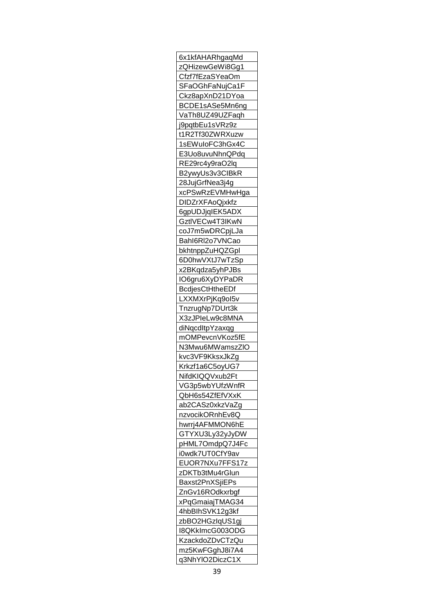| 6x1kfAHARhgaqMd        |
|------------------------|
| zQHizewGeWi8Gg1        |
| Cfzf7fEzaSYeaOm        |
| SFaOGhFaNujCa1F        |
| Ckz8apXnD21DYoa        |
| BCDE1sASe5Mn6ng        |
| VaTh8UZ49UZFaqh        |
| j9pqtbEu1sVRz9z        |
| t1R2Tf30ZWRXuzw        |
| 1sEWuloFC3hGx4C        |
| E3Uo8uvuNhnQPdq        |
|                        |
| RE29rc4y9raO2lq        |
| B2ywyUs3v3CIBkR        |
| 28JujGrfNea3j4g        |
| xcPSwRzEVMHwHga        |
| <b>DIDZrXFAoQjxkfz</b> |
| 6gpUDJjqIEK5ADX        |
| GztlVECw4T3IKwN        |
| <u>coJ7m5wDRCpjLJa</u> |
| Bahl6Rl2o7VNCao        |
| bkhtnppZuHQZGpl        |
| 6D0hwVXtJ7wTzSp        |
| x2BKqdza5yhPJBs        |
| <u>IO6gru6XyDYPaDR</u> |
| <b>BcdjesCtHtheEDf</b> |
| LXXMXrPjKq9ol5v        |
| TnzrugNp7DUrt3k        |
| X3zJPIeLw9c8MNA        |
|                        |
| diNgcdltpYzaxqg        |
| mOMPevcnVKoz5fE        |
| <u>N3Mwu6MWamszZIO</u> |
| kvc3VF9KksxJkZg        |
| Krkzf1a6C5oyUG7        |
| NifdKIQQVxub2Ft        |
| VG3p5wbYUfzWnfR        |
| QbH6s54ZfEfVXxK        |
| ab2CASz0xkzVaZg        |
| nzvocikORnhEv8Q        |
| hwrrj4AFMMON6hE        |
| GTYXU3Ly32yJyDW        |
| pHML7OmdpQ7J4Fc        |
| i0wdk7UT0CfY9av        |
| EUOR7NXu7FFS17z        |
| zDKTb3tMu4rGlun        |
|                        |
| Baxst2PnXSjiEPs        |
| ZnGv16ROdkxrbgf        |
| xPqGmaiajTMAG34        |
| 4hbBlhSVK12g3kf        |
| zbBO2HGzIqUS1gj        |
| I8QKkImcG003ODG        |
| KzackdoZDvCTzQu        |
| mz5KwFGghJ8i7A4        |
| q3NhYlO2DiczC1X        |
|                        |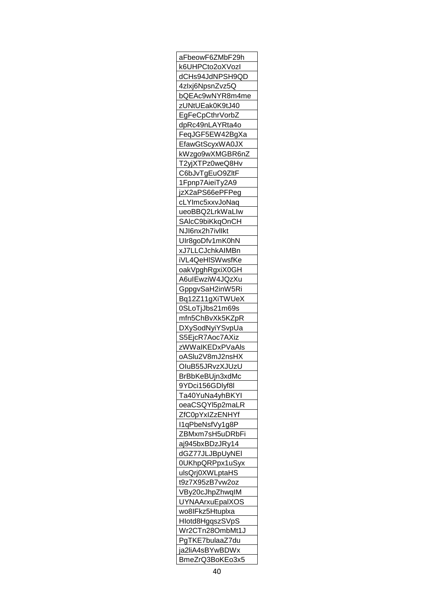| aFbeowF6ZMbF29h               |
|-------------------------------|
| k6UHPCto2oXVozl               |
| dCHs94JdNPSH9QD               |
| 4zlxj6NpsnZvz5Q               |
| bQEAc9wNYR8m4me               |
| zUNtUEak0K9tJ40               |
| EgFeCpCthrVorbZ               |
| dpRc49nLAYRta4o               |
| FeqJGF5EW42BgXa               |
| EfawGtScyxWA0JX               |
|                               |
| kWzgo9wXMGBR6nZ               |
| T2yjXTPz0weQ8Hv               |
| C6bJvTgEuO9ZltF               |
| 1Fpnp7AieiTy2A9               |
| jzX2aPS66ePFPeg               |
| cLYImc5xxvJoNaq               |
| ueoBBQ2LrkWaLlw               |
| SAlcC9biKkqOnCH               |
| NJI6nx2h7ivllkt               |
| Ulr8goDfv1mK0hN               |
| xJ7LLCJchkAIMBn               |
| iVL4QeHISWwsfKe               |
| oakVpghRgxiX0GH               |
| A6uIEwziW4JQzXu               |
| GppgvSaH2inW5Ri               |
|                               |
| Bq12Z11gXiTWUeX               |
| 0SLoTjJbs21m69s               |
| mfn5ChBvXk5KZpR               |
| DXySodNyiYSvpUa               |
| S5EjcR7Aoc7AXiz               |
| zWWaIKEDxPVaAls               |
| oASlu2V8mJ2nsHX               |
| OluB55JRvzXJUzU               |
| BrBbKeBUjn3xdMc               |
| 9YDci156GDIyf8l               |
| Ta40YuNa4yhBKYI               |
| oeaCSQYl5p2maLR               |
| ZfC0pYxIZzENHYf               |
| I1qPbeNsfVy1g8P               |
| ZBMxm7sH5uDRbFi               |
| aj945bxBDzJRy14               |
| dGZ77JLJBpUyNEI               |
|                               |
| 0U <mark>KhpQRPpx1uSyx</mark> |
| ulsQrj0XWLptaHS               |
| t9z7X95zB7vw2oz               |
| VBy20cJhpZhwqIM               |
| <b>UYNAArxuEpalXOS</b>        |
| wo8IFkz5Htuplxa               |
| Hlotd8HgqszSVpS               |
| Wr2CTn28OmbMt1J               |
| PgTKE7bulaaZ7du               |
| ja2liA4sBYwBDWx               |
| BmeZrQ3BoKEo3x5               |
|                               |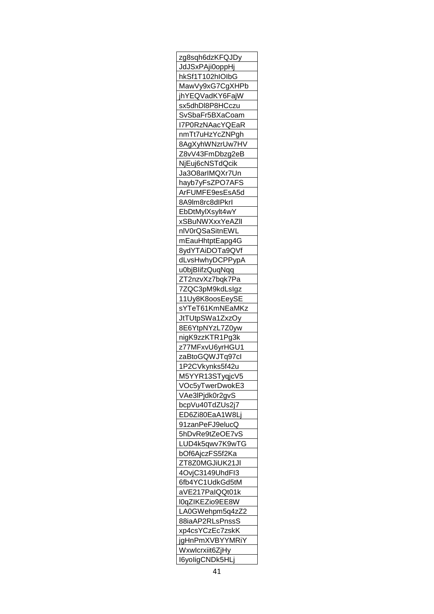| zg8sqh6dzKFQJDy        |
|------------------------|
| JdJSxPAji0oppHj        |
| hkSf1T102hIOIbG        |
| MawVy9xG7CgXHPb        |
| jhYEQVadKY6FajW        |
| sx5dhDl8P8HCczu        |
| SvSbaFr5BXaCoam        |
| I7P0RzNAacYQEaR        |
| nmTt7uHzYcZNPgh        |
| 8AgXyhWNzrUw7HV        |
| Z8vV43FmDbzg2eB        |
| NjEuj6cNSTdQcik        |
| Ja3O8arIMQXr7Un        |
| hayb7yFsZPO7AFS        |
| ArFUMFE9esEsA5d        |
|                        |
| 8A9lm8rc8dlPkrl        |
| EbDtMylXsylt4wY        |
| xSBuNWXxxYeAZII        |
| nlV0rQSaSitnEWL        |
| mEauHhtptEapg4G        |
| 8ydYTAiDOTa9QVf        |
| dLvsHwhyDCPPypA        |
| u0bjBlifzQuqNqq        |
| ZT2nzvXz7bqk7Pa        |
| 7ZQC3pM9kdLsIgz        |
| 11Uy8K8oosEeySE        |
| sYTeT61KmNEaMKz        |
| JtTUtpSWa1ZxzOy        |
| 8E6YtpNYzL7Z0yw        |
| nigK9zzKTR1Pg3k        |
| z77MFxvU6yrHGU1        |
| zaBtoGQWJTq97cl        |
| 1P2CVkynks5f42u        |
| M5YYR13STyqjcV5        |
|                        |
| VOc5yTwerDwokE3        |
| VAe3lPjdk0r2gvS        |
| bcpVu40TdZUs2j7        |
| ED6Zi80EaA1W8Lj        |
| 91zanPeFJ9elucQ        |
| 5hDvRe9tZeOE7vS        |
| LUD4k5qwv7K9wTG        |
| bOf6AjczFS5f2Ka        |
| ZT8Z0MGJiUK21JI        |
| 4OvjC3149UhdFI3        |
| 6fb4YC1UdkGd5tM        |
| aVE217PaIQQt01k        |
| l0qZIKEZio9EE8W        |
| LA0GWehpm5q4zZ2        |
| 88iaAP2RLsPnssS        |
| xp4csYCzEc7zskK        |
| jgHnPmXVBYYMRiY        |
| <u>Wxwlcrxiit6ZjHy</u> |
| I6yoligCNDk5HLj        |
|                        |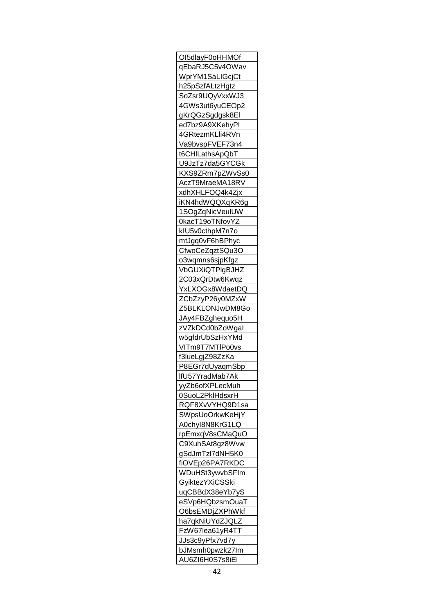| OI5dlayF0oHHMOf                    |
|------------------------------------|
| qEbaRJ5C5v4OWav                    |
| WprYM1SaLIGcjCt                    |
| h25pSzfALtzHgtz                    |
| SoZsr9UQyVxxWJ3                    |
| 4GWs3ut6yuCEOp2                    |
| gKrQGzSgdgsk8El                    |
| ed7bz9A9XKehyPl                    |
| 4GRtezmKLli4RVn                    |
| Va9bvspFVEF73n4                    |
| t6CHILathsApQbT                    |
| U9JzTz7da5GYCGk                    |
|                                    |
| KXS9ZRm7pZWvSs0                    |
| AczT9MraeMA18RV                    |
| xdhXHLFOQ4k4Zjx                    |
| iKN4hdWQQXqKR6g                    |
| 1SOgZqNicVeulUW                    |
| 0kacT19oTNfovYZ                    |
| kIU5v0cthpM7n7o                    |
| mtJgq0vF6hBPhyc                    |
| CfwoCeZqztSQu3O                    |
| o3wqmns6sjpKfgz                    |
| VbGUXiQTPIgBJHZ                    |
| 2C03xQrDtw6Kwqz                    |
| YxLXOGx8WdaetDQ                    |
| ZCbZzyP26y0MZxW                    |
| Z5BLKLONJwDM8Go                    |
| JAy4FBZghequo5H                    |
| zVZkDCd0bZoWgal                    |
| w5gfdrUbSzHxYMd                    |
| VITm9T7MTIPo0vs                    |
| f3lueLgjZ98ZzKa                    |
|                                    |
| P8EGr7dUyaqmSbp                    |
| lfU57YradMab7Ak                    |
| <u>yyZb6ofXPLecMuh</u>             |
| 0SuoL2PklHdsxrH                    |
| RQF8XvVYHQ9D1sa                    |
| <b>SWpsUoOrkwKeHjY</b>             |
| A0chyl8N8KrG1LQ                    |
| rpEmxqV8sCMaQuO                    |
| C9XuhSAt8gz8Wvw                    |
| gSdJmTzl7dNH5K0                    |
| fiOVEp26PA7RKDC                    |
| WDuHSt3ywvbSFIm                    |
| GyiktezYXiCSSki                    |
| uqCBBdX38eYb7yS                    |
| eSVp6HQbzsmOuaT                    |
| O6bsEMDjZXPhWkf                    |
| ha7qkNiUYdZJQLZ                    |
| FzW67lea61yR4TT                    |
| JJs3c9yPfx7vd7y                    |
|                                    |
|                                    |
| bJMsmh0pwzk27lm<br>AU6ZI6H0S7s8iEi |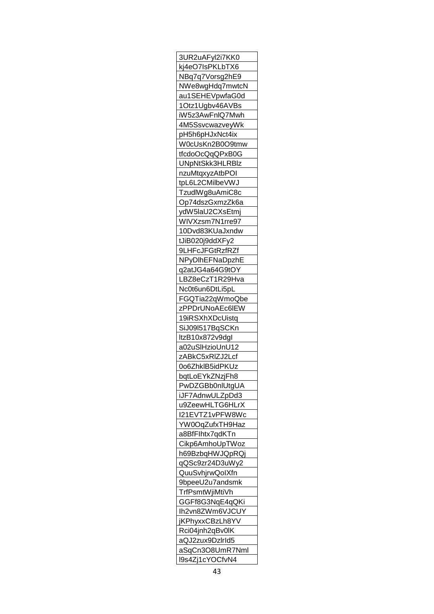| 3UR2uAFyl2i7KK0                    |
|------------------------------------|
| kj4eO7IsPKLbTX6                    |
| NBq7q7Vorsg2hE9                    |
| NWe8wgHdq7mwtcN                    |
| au1SEHEVpwfaG0d                    |
| 1Otz1Ugbv46AVBs                    |
| iW5z3AwFnIQ7Mwh                    |
| 4M5SsvcwazveyWk                    |
| pH5h6pHJxNct4ix                    |
| W0cUsKn2B0O9tmw                    |
| tfcdoOcQqQPxB0G                    |
|                                    |
| UNpNtSkk3HLRBIz                    |
| nzuMtqxyzAtbPOI                    |
| tpL6L2CMilbeVWJ                    |
| TzudlWg8uAmiC8c                    |
| Op74dszGxmzZk6a                    |
| ydW5laU2CXsEtmj                    |
| WIVXzsm7N1rre97                    |
| 10Dvd83KUaJxndw                    |
| tJiB020j9ddXFy2                    |
| 9LHFcJFGtRzfRZf                    |
| NPyDIhEFNaDpzhE                    |
| q2atJG4a64G9tOY                    |
| LBZ8eCzT1R29Hva                    |
| Nc0t6un6DtLi5pL                    |
| FGQTia22qWmoQbe                    |
| zPPDrUNoAEc6IEW                    |
|                                    |
| 19iRSXhXDcUistq<br>SiJ09l517BqSCKn |
| ltzB10x872v9dgl                    |
|                                    |
| <u>a02uSlHzioUnU12</u>             |
| zABkC5xRIZJ2Lcf                    |
| 0o6ZhklB5idPKUz                    |
| bqtLoEYkZNzjFh8                    |
| PwDZGBb0nlUtgUA                    |
| iJF7AdnwULZpDd3                    |
| u9ZeewHLTG6HLrX                    |
| I21EVTZ1vPFW8Wc                    |
| YW0OqZufxTH9Haz                    |
| a8BfFlhtx7qdKTn                    |
| Cikp6AmhoUpTWoz                    |
| h69BzbqHWJQpRQj                    |
| qQSc9zr24D3uWy2                    |
| QuuSvhjrwQolXfn                    |
| 9bpeeU2u7andsmk                    |
| TrfPsmtWjiMtiVh                    |
| GGFf8G3NqE4qQKi                    |
|                                    |
| Ih2vn8ZWm6VJCUY                    |
| jKPhyxxCBzLh8YV                    |
| Rci <u>04jnh2qBv0lK</u>            |
| aQJ2zux9DzIrId5                    |
| aSqCn3O8UmR7Nml                    |
| l9s4Zj1cYOCfvN4                    |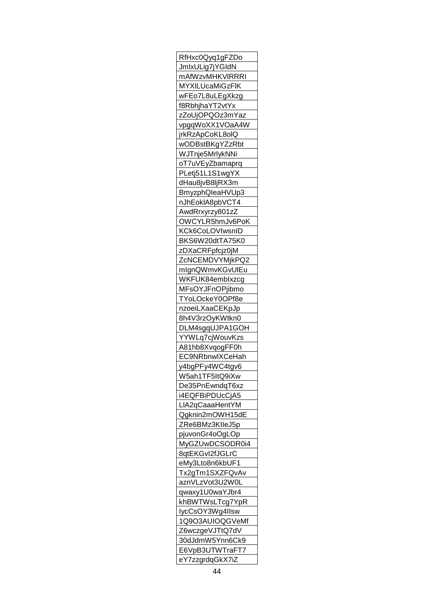| RfHxc0Qyq1gFZDo                    |
|------------------------------------|
| JmlxULig7jYGIdN                    |
| mAfWzvMHKVIRRRI                    |
| MYXILUcaMiGzFIK                    |
| wFEo7L8uLEgXkzg                    |
| f8RbhjhaYT2vtYx                    |
| zZoUjOPQOz3mYaz                    |
| vpgqWoXX1VOaA4W                    |
| jrkRzApCoKL8olQ                    |
| wODBstBKgYZzRbt                    |
| WJTnje5MrlykNNi                    |
| oT7uVEyZbamaprq                    |
| PLetj51L1S1wgYX                    |
|                                    |
| dHau8jvB8ljRX3m                    |
| BmyzphQleaHVUp3                    |
| nJhEoklA8pbVCT4                    |
| AwdRrxyrzy801zZ                    |
| OWCYLR5hmJv6PoK                    |
| KCk6CoLOVIwsnID                    |
| BKS6W20dtTA75K0                    |
| zDXaCRFpfcjz0jM                    |
| ZcNCEMDVYMjkPQ2                    |
| mlgnQWmvKGvUIEu                    |
| WKFUK84emblxzcg                    |
| MFsOYJFnOPjibmo                    |
| TYoLOckeY0OPf8e                    |
| nzoeiLXaaCEKpJp                    |
| 8h4V3rzOyKWtkn0                    |
| DLM4sgqUJPA1GOH                    |
|                                    |
| <u>YYWLq7cjWouvKzs</u>             |
| A81hb8XvqogFF0h                    |
| EC9NRbnwlXCeHah                    |
| y4bgPFy4WC4tgv6                    |
| W5ah1TF5ItQ9iXw                    |
| De35PnEwndqT6xz                    |
| i4EQFBiPDUcCjA5                    |
| LIA2qCaaaHentYM                    |
| Qgknin2mOWH15dE                    |
| ZRe6BMz3KIIeJ5p                    |
| pjuvonGr4oOgLOp                    |
| MyGZUwDCSODR0i4                    |
| 8qtEKGvl2fJGLrC                    |
| eMy3Lto8n6kbUF1                    |
| Tx2gTm1SXZFQvAv                    |
| aznVLzVot3U2W0L                    |
| qwaxy1U0waYJbr4                    |
| khBWTWsLTcg7YpR                    |
|                                    |
| lycCsOY3Wg4llsw                    |
| 1Q9O3AUIOQGVeMf                    |
| Z6wczgeVJTtQ7dV                    |
| 30dJdmW5Ynn6Ck9                    |
|                                    |
| E6VpB3UTWTraFT7<br>eY7zzgrdqGkX7iZ |

L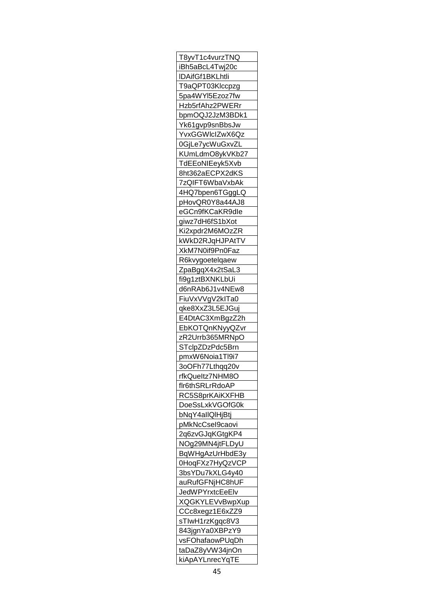| T8yvT1c4vurzTNQ        |
|------------------------|
| iBh5aBcL4Twj20c        |
| IDAifGf1BKLhtli        |
| T9aQPT03Klccpzg        |
| 5pa4WYI5Ezoz7fw        |
| Hzb5rfAhz2PWERr        |
| bpmOQJ2JzM3BDk1        |
| Yk61gvp9snBbsJw        |
| YvxGGWIcIZwX6Qz        |
| 0GjLe7ycWuGxvZL        |
| KUmLdmO8ykVKb27        |
| TdEEoNIEeyk5Xvb        |
|                        |
| 8ht362aECPX2dKS        |
| <u>7zQIFT6WbaVxbAk</u> |
| 4HQ7bpen6TGggLQ        |
| pHovQR0Y8a44AJ8        |
| eGCn9fKCaKR9dle        |
| giwz7dH6fS1bXot        |
| Ki2xpdr2M6MOzZR        |
| kWkD2RJqHJPAtTV        |
| <u>XkM7N0if9Pn0Faz</u> |
| R6kvygoetelqaew        |
| ZpaBgqX4x2tSaL3        |
| fi9g1ztBXNKLbUi        |
| d6nRAb6J1v4NEw8        |
| FiuVxVVgV2klTa0        |
| qke8XxZ3L5EJGuj        |
| E4DtAC3XmBgzZ2h        |
| <b>EbKOTQnKNyyQZvr</b> |
| zR2Urrb365MRNpO        |
| STclpZDzPdc5Brn        |
| pmxW6Noia1Tl9i7        |
| 3oOFh77Lthqq20v        |
| rfkQueltz7NHM8O        |
| flr6thSRLrRdoAP        |
|                        |
| RC5S8prKAiKXFHB        |
| DoeSsLxkVGOfG0k        |
| bNqY4allQlHjBtj        |
| pMkNcCsel9caovi        |
| 2q6zvGJqKGtgKP4        |
| NOg29MN4jtFLDyU        |
| BqWHgAzUrHbdE3y        |
| 0HoqFXz7HyQzVCP        |
| 3bsYDu7kXLG4y40        |
| auRufGFNjHC8hUF        |
| JedWPYrxtcEeElv        |
| <b>XQGKYLEVvBwpXup</b> |
| CCc8xegz1E6xZZ9        |
| sTIwH1rzKgqc8V3        |
| 843jgnYa0XBPzY9        |
| vsFOhafaowPUqDh        |
| taDaZ8yVW34jnOn        |
| kiApAYLnrecYqTE        |
|                        |